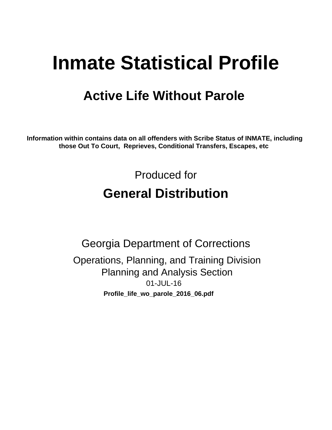# **Inmate Statistical Profile**

## **Active Life Without Parole**

Information within contains data on all offenders with Scribe Status of INMATE, including those Out To Court, Reprieves, Conditional Transfers, Escapes, etc

> Produced for **General Distribution**

**Georgia Department of Corrections** Operations, Planning, and Training Division **Planning and Analysis Section** 01-JUL-16 Profile\_life\_wo\_parole\_2016\_06.pdf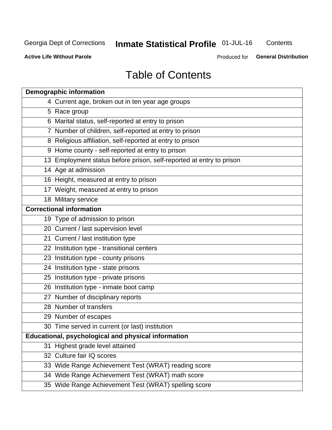## **Inmate Statistical Profile 01-JUL-16**

Contents

**Active Life Without Parole** 

Produced for General Distribution

## **Table of Contents**

| <b>Demographic information</b>                                       |
|----------------------------------------------------------------------|
| 4 Current age, broken out in ten year age groups                     |
| 5 Race group                                                         |
| 6 Marital status, self-reported at entry to prison                   |
| 7 Number of children, self-reported at entry to prison               |
| 8 Religious affiliation, self-reported at entry to prison            |
| 9 Home county - self-reported at entry to prison                     |
| 13 Employment status before prison, self-reported at entry to prison |
| 14 Age at admission                                                  |
| 16 Height, measured at entry to prison                               |
| 17 Weight, measured at entry to prison                               |
| 18 Military service                                                  |
| <b>Correctional information</b>                                      |
| 19 Type of admission to prison                                       |
| 20 Current / last supervision level                                  |
| 21 Current / last institution type                                   |
| 22 Institution type - transitional centers                           |
| 23 Institution type - county prisons                                 |
| 24 Institution type - state prisons                                  |
| 25 Institution type - private prisons                                |
| 26 Institution type - inmate boot camp                               |
| 27 Number of disciplinary reports                                    |
| 28 Number of transfers                                               |
| 29 Number of escapes                                                 |
| 30 Time served in current (or last) institution                      |
| <b>Educational, psychological and physical information</b>           |
| 31 Highest grade level attained                                      |
| 32 Culture fair IQ scores                                            |
| 33 Wide Range Achievement Test (WRAT) reading score                  |
| 34 Wide Range Achievement Test (WRAT) math score                     |
| 35 Wide Range Achievement Test (WRAT) spelling score                 |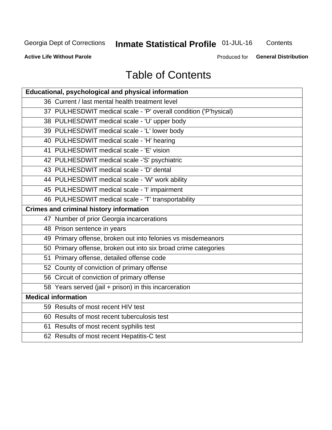## **Inmate Statistical Profile 01-JUL-16**

Contents

**Active Life Without Parole** 

Produced for General Distribution

## **Table of Contents**

| <b>Educational, psychological and physical information</b>       |
|------------------------------------------------------------------|
| 36 Current / last mental health treatment level                  |
| 37 PULHESDWIT medical scale - 'P' overall condition ('P'hysical) |
| 38 PULHESDWIT medical scale - 'U' upper body                     |
| 39 PULHESDWIT medical scale - 'L' lower body                     |
| 40 PULHESDWIT medical scale - 'H' hearing                        |
| 41 PULHESDWIT medical scale - 'E' vision                         |
| 42 PULHESDWIT medical scale -'S' psychiatric                     |
| 43 PULHESDWIT medical scale - 'D' dental                         |
| 44 PULHESDWIT medical scale - 'W' work ability                   |
| 45 PULHESDWIT medical scale - 'I' impairment                     |
| 46 PULHESDWIT medical scale - 'T' transportability               |
| <b>Crimes and criminal history information</b>                   |
| 47 Number of prior Georgia incarcerations                        |
| 48 Prison sentence in years                                      |
| 49 Primary offense, broken out into felonies vs misdemeanors     |
| 50 Primary offense, broken out into six broad crime categories   |
| 51 Primary offense, detailed offense code                        |
| 52 County of conviction of primary offense                       |
| 56 Circuit of conviction of primary offense                      |
| 58 Years served (jail + prison) in this incarceration            |
| <b>Medical information</b>                                       |
| 59 Results of most recent HIV test                               |
| 60 Results of most recent tuberculosis test                      |
| 61 Results of most recent syphilis test                          |
| 62 Results of most recent Hepatitis-C test                       |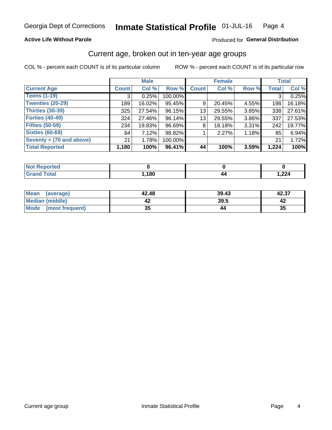### **Active Life Without Parole**

### Produced for General Distribution

## Current age, broken out in ten-year age groups

COL % - percent each COUNT is of its particular column

|                          | <b>Male</b>  |        |         | <b>Female</b>   |        |       | <b>Total</b> |        |
|--------------------------|--------------|--------|---------|-----------------|--------|-------|--------------|--------|
| <b>Current Age</b>       | <b>Count</b> | Col %  | Row %   | <b>Count</b>    | Col %  | Row % | <b>Total</b> | Col %  |
| <b>Teens (1-19)</b>      | 3            | 0.25%  | 100.00% |                 |        |       | 3            | 0.25%  |
| <b>Twenties (20-29)</b>  | 189          | 16.02% | 95.45%  | 9               | 20.45% | 4.55% | 198          | 16.18% |
| Thirties (30-39)         | 325          | 27.54% | 96.15%  | 13 <sub>1</sub> | 29.55% | 3.85% | 338          | 27.61% |
| <b>Forties (40-49)</b>   | 324          | 27.46% | 96.14%  | 13              | 29.55% | 3.86% | 337          | 27.53% |
| <b>Fifties (50-59)</b>   | 234          | 19.83% | 96.69%  | 8               | 18.18% | 3.31% | 242          | 19.77% |
| <b>Sixties (60-69)</b>   | 84           | 7.12%  | 98.82%  |                 | 2.27%  | 1.18% | 85           | 6.94%  |
| Seventy + (70 and above) | 21           | 1.78%  | 100.00% |                 |        |       | 21           | 1.72%  |
| <b>Total Reported</b>    | 1,180        | 100%   | 96.41%  | 44              | 100%   | 3.59% | 1,224        | 100%   |

| <b>informed</b><br>m.  |      |      |
|------------------------|------|------|
| $f \wedge f \wedge f'$ | ,180 | ,224 |

| <b>Mean</b><br>(average) | 42.48    | 39.43 | 42.37 |
|--------------------------|----------|-------|-------|
| Median (middle)          |          | 39.5  |       |
| Mode<br>(most frequent)  | 25<br>vu |       | 35    |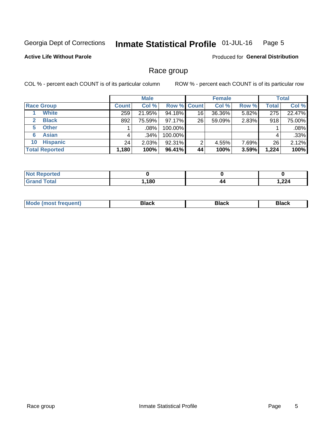#### **Inmate Statistical Profile 01-JUL-16** Page 5

### **Active Life Without Parole**

Produced for General Distribution

## Race group

COL % - percent each COUNT is of its particular column

|                              |              | <b>Male</b> |                    |    | <b>Female</b> |       |       | <b>Total</b> |  |
|------------------------------|--------------|-------------|--------------------|----|---------------|-------|-------|--------------|--|
| <b>Race Group</b>            | <b>Count</b> | Col %       | <b>Row % Count</b> |    | Col %         | Row % | Total | Col %        |  |
| <b>White</b>                 | 259          | 21.95%      | 94.18%             | 16 | 36.36%        | 5.82% | 275   | 22.47%       |  |
| <b>Black</b><br>$\mathbf{2}$ | 892          | 75.59%      | 97.17%             | 26 | 59.09%        | 2.83% | 918   | 75.00%       |  |
| <b>Other</b><br>5.           |              | .08%        | 100.00%            |    |               |       |       | .08%         |  |
| <b>Asian</b><br>6            | 4            | $.34\%$     | 100.00%            |    |               |       | 4     | .33%         |  |
| <b>Hispanic</b><br>10        | 24           | 2.03%       | 92.31%             | 2  | 4.55%         | 7.69% | 26    | 2.12%        |  |
| <b>Total Reported</b>        | 1,180        | 100%        | 96.41%             | 44 | 100%          | 3.59% | 1,224 | 100%         |  |

| rted         |      |    |       |
|--------------|------|----|-------|
| <b>cotal</b> | ,180 | 44 | 1,224 |

| M | - - - |  |
|---|-------|--|
|   |       |  |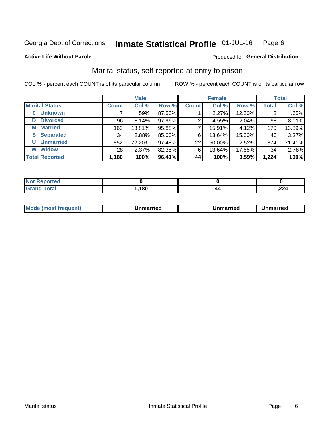#### Inmate Statistical Profile 01-JUL-16 Page 6

**Active Life Without Parole** 

### Produced for General Distribution

## Marital status, self-reported at entry to prison

COL % - percent each COUNT is of its particular column

|                            | <b>Male</b>     |        |        | <b>Female</b> |        |        | <b>Total</b> |        |
|----------------------------|-----------------|--------|--------|---------------|--------|--------|--------------|--------|
| <b>Marital Status</b>      | <b>Count</b>    | Col %  | Row %  | <b>Count</b>  | Col %  | Row %  | <b>Total</b> | Col %  |
| <b>Unknown</b><br>$\bf{0}$ |                 | .59%   | 87.50% |               | 2.27%  | 12.50% | 8            | .65%   |
| <b>Divorced</b><br>D       | 96              | 8.14%  | 97.96% | 2             | 4.55%  | 2.04%  | 98           | 8.01%  |
| <b>Married</b><br>М        | 163             | 13.81% | 95.88% |               | 15.91% | 4.12%  | 170          | 13.89% |
| <b>Separated</b><br>S      | 34              | 2.88%  | 85.00% | 6             | 13.64% | 15.00% | 40           | 3.27%  |
| <b>Unmarried</b><br>U      | 852             | 72.20% | 97.48% | 22            | 50.00% | 2.52%  | 874          | 71.41% |
| <b>Widow</b><br>W          | 28 <sub>1</sub> | 2.37%  | 82.35% | 6             | 13.64% | 17.65% | 34           | 2.78%  |
| <b>Total Reported</b>      | 1,180           | 100%   | 96.41% | 44            | 100%   | 3.59%  | 1,224        | 100%   |

| <b>Not Reported</b>              |      |     |       |
|----------------------------------|------|-----|-------|
| <b>Total</b><br><b>UI 41 I 4</b> | ,180 | /17 | 1,224 |

|--|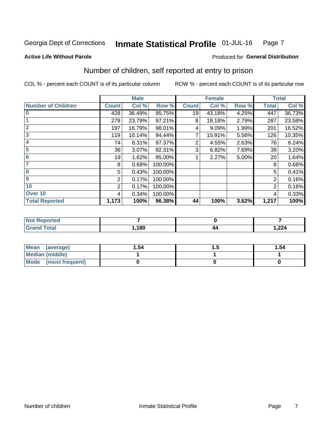#### **Inmate Statistical Profile 01-JUL-16** Page 7

#### **Active Life Without Parole**

### Produced for General Distribution

## Number of children, self reported at entry to prison

COL % - percent each COUNT is of its particular column

|                           |                | <b>Male</b> |         |              | <b>Female</b> |       |                | <b>Total</b> |
|---------------------------|----------------|-------------|---------|--------------|---------------|-------|----------------|--------------|
| <b>Number of Children</b> | <b>Count</b>   | Col %       | Row %   | <b>Count</b> | Col %         | Row % | <b>Total</b>   | Col %        |
| $\bf{0}$                  | 428            | 36.49%      | 95.75%  | 19           | 43.18%        | 4.25% | 447            | 36.73%       |
|                           | 279            | 23.79%      | 97.21%  | 8            | 18.18%        | 2.79% | 287            | 23.58%       |
| $\overline{2}$            | 197            | 16.79%      | 98.01%  | 4            | 9.09%         | 1.99% | 201            | 16.52%       |
| 3                         | 119            | 10.14%      | 94.44%  | 7            | 15.91%        | 5.56% | 126            | 10.35%       |
| 4                         | 74             | 6.31%       | 97.37%  | 2            | 4.55%         | 2.63% | 76             | 6.24%        |
| 5                         | 36             | 3.07%       | 92.31%  | 3            | 6.82%         | 7.69% | 39             | 3.20%        |
| 6                         | 19             | 1.62%       | 95.00%  |              | 2.27%         | 5.00% | 20             | 1.64%        |
| 7                         | 8              | 0.68%       | 100.00% |              |               |       | 8              | 0.66%        |
| 8                         | 5              | 0.43%       | 100.00% |              |               |       | 5              | 0.41%        |
| $\boldsymbol{9}$          | $\overline{2}$ | 0.17%       | 100.00% |              |               |       | 2              | 0.16%        |
| 10                        | 2              | 0.17%       | 100.00% |              |               |       | $\overline{2}$ | 0.16%        |
| Over 10                   | 4              | 0.34%       | 100.00% |              |               |       | 4              | 0.33%        |
| <b>Total Reported</b>     | 1,173          | 100%        | 96.38%  | 44           | 100%          | 3.62% | 1,217          | 100%         |

| rreo              |      |    |               |
|-------------------|------|----|---------------|
| المقماد<br>$\sim$ | ,180 | 44 | 0.21<br>1,444 |

| Mean (average)         | 1.54 | 1.54 |
|------------------------|------|------|
| <b>Median (middle)</b> |      |      |
| Mode (most frequent)   |      |      |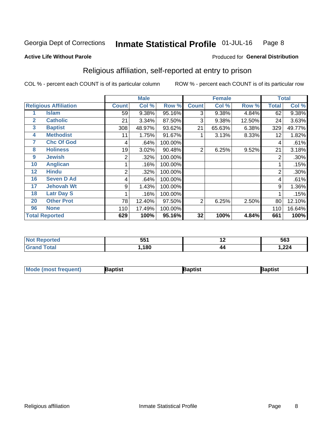#### Inmate Statistical Profile 01-JUL-16 Page 8

#### **Active Life Without Parole**

### Produced for General Distribution

## Religious affiliation, self-reported at entry to prison

COL % - percent each COUNT is of its particular column

|              |                              |                | <b>Male</b> |         |                | <b>Female</b> |        |                | <b>Total</b> |
|--------------|------------------------------|----------------|-------------|---------|----------------|---------------|--------|----------------|--------------|
|              | <b>Religious Affiliation</b> | <b>Count</b>   | Col %       | Row %   | <b>Count</b>   | Col %         | Row %  | <b>Total</b>   | Col %        |
|              | Islam                        | 59             | 9.38%       | 95.16%  | 3              | 9.38%         | 4.84%  | 62             | 9.38%        |
| $\mathbf{2}$ | <b>Catholic</b>              | 21             | 3.34%       | 87.50%  | 3              | 9.38%         | 12.50% | 24             | 3.63%        |
| 3            | <b>Baptist</b>               | 308            | 48.97%      | 93.62%  | 21             | 65.63%        | 6.38%  | 329            | 49.77%       |
| 4            | <b>Methodist</b>             | 11             | 1.75%       | 91.67%  |                | 3.13%         | 8.33%  | 12             | 1.82%        |
| 7            | <b>Chc Of God</b>            | 4              | .64%        | 100.00% |                |               |        | 4              | .61%         |
| 8            | <b>Holiness</b>              | 19             | 3.02%       | 90.48%  | 2              | 6.25%         | 9.52%  | 21             | 3.18%        |
| 9            | <b>Jewish</b>                | 2              | .32%        | 100.00% |                |               |        | $\overline{2}$ | .30%         |
| 10           | <b>Anglican</b>              |                | .16%        | 100.00% |                |               |        |                | .15%         |
| 12           | <b>Hindu</b>                 | $\overline{2}$ | .32%        | 100.00% |                |               |        | $\overline{2}$ | .30%         |
| 16           | <b>Seven D Ad</b>            | 4              | .64%        | 100.00% |                |               |        | 4              | .61%         |
| 17           | <b>Jehovah Wt</b>            | 9              | 1.43%       | 100.00% |                |               |        | 9              | 1.36%        |
| 18           | <b>Latr Day S</b>            |                | .16%        | 100.00% |                |               |        |                | .15%         |
| 20           | <b>Other Prot</b>            | 78             | 12.40%      | 97.50%  | $\overline{2}$ | 6.25%         | 2.50%  | 80             | 12.10%       |
| 96           | <b>None</b>                  | 110            | 17.49%      | 100.00% |                |               |        | 110            | 16.64%       |
|              | <b>Total Reported</b>        | 629            | 100%        | 95.16%  | 32             | 100%          | 4.84%  | 661            | 100%         |

| тего        | 551<br>. JJ 1 | . .<br><u>. . </u> | 563                   |
|-------------|---------------|--------------------|-----------------------|
| $C = 4 - 7$ | 180           | 44                 | 1,224<br>$\mathbf{r}$ |

| <b>Mode (most frequent)</b> | 3aptist | 3aptist | Baptist |
|-----------------------------|---------|---------|---------|
|-----------------------------|---------|---------|---------|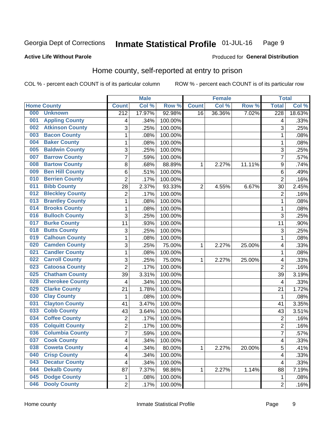#### Inmate Statistical Profile 01-JUL-16 Page 9

### **Active Life Without Parole**

### Produced for General Distribution

## Home county, self-reported at entry to prison

COL % - percent each COUNT is of its particular column

|     |                        |                  | <b>Male</b> |         |                | <b>Female</b> |        | <b>Total</b>     |        |
|-----|------------------------|------------------|-------------|---------|----------------|---------------|--------|------------------|--------|
|     | <b>Home County</b>     | <b>Count</b>     | Col %       | Row %   | <b>Count</b>   | Col %         | Row %  | <b>Total</b>     | Col %  |
| 000 | <b>Unknown</b>         | $\overline{212}$ | 17.97%      | 92.98%  | 16             | 36.36%        | 7.02%  | $\overline{228}$ | 18.63% |
| 001 | <b>Appling County</b>  | 4                | .34%        | 100.00% |                |               |        | 4                | .33%   |
| 002 | <b>Atkinson County</b> | 3                | .25%        | 100.00% |                |               |        | 3                | .25%   |
| 003 | <b>Bacon County</b>    | $\mathbf 1$      | .08%        | 100.00% |                |               |        | 1                | .08%   |
| 004 | <b>Baker County</b>    | $\mathbf 1$      | .08%        | 100.00% |                |               |        | 1                | .08%   |
| 005 | <b>Baldwin County</b>  | 3                | .25%        | 100.00% |                |               |        | 3                | .25%   |
| 007 | <b>Barrow County</b>   | $\overline{7}$   | .59%        | 100.00% |                |               |        | $\overline{7}$   | .57%   |
| 008 | <b>Bartow County</b>   | 8                | .68%        | 88.89%  | 1              | 2.27%         | 11.11% | 9                | .74%   |
| 009 | <b>Ben Hill County</b> | 6                | .51%        | 100.00% |                |               |        | 6                | .49%   |
| 010 | <b>Berrien County</b>  | $\overline{2}$   | .17%        | 100.00% |                |               |        | $\overline{2}$   | .16%   |
| 011 | <b>Bibb County</b>     | 28               | 2.37%       | 93.33%  | $\overline{2}$ | 4.55%         | 6.67%  | 30               | 2.45%  |
| 012 | <b>Bleckley County</b> | 2                | .17%        | 100.00% |                |               |        | $\overline{2}$   | .16%   |
| 013 | <b>Brantley County</b> | $\mathbf{1}$     | .08%        | 100.00% |                |               |        | 1                | .08%   |
| 014 | <b>Brooks County</b>   | $\mathbf 1$      | .08%        | 100.00% |                |               |        | 1                | .08%   |
| 016 | <b>Bulloch County</b>  | 3                | .25%        | 100.00% |                |               |        | 3                | .25%   |
| 017 | <b>Burke County</b>    | 11               | .93%        | 100.00% |                |               |        | 11               | .90%   |
| 018 | <b>Butts County</b>    | 3                | .25%        | 100.00% |                |               |        | 3                | .25%   |
| 019 | <b>Calhoun County</b>  | $\mathbf 1$      | .08%        | 100.00% |                |               |        | 1                | .08%   |
| 020 | <b>Camden County</b>   | 3                | .25%        | 75.00%  | 1              | 2.27%         | 25.00% | 4                | .33%   |
| 021 | <b>Candler County</b>  | 1                | .08%        | 100.00% |                |               |        | 1                | .08%   |
| 022 | <b>Carroll County</b>  | 3                | .25%        | 75.00%  | 1              | 2.27%         | 25.00% | 4                | .33%   |
| 023 | <b>Catoosa County</b>  | $\overline{2}$   | .17%        | 100.00% |                |               |        | $\overline{2}$   | .16%   |
| 025 | <b>Chatham County</b>  | 39               | 3.31%       | 100.00% |                |               |        | 39               | 3.19%  |
| 028 | <b>Cherokee County</b> | 4                | .34%        | 100.00% |                |               |        | 4                | .33%   |
| 029 | <b>Clarke County</b>   | 21               | 1.78%       | 100.00% |                |               |        | 21               | 1.72%  |
| 030 | <b>Clay County</b>     | 1                | .08%        | 100.00% |                |               |        | 1                | .08%   |
| 031 | <b>Clayton County</b>  | 41               | 3.47%       | 100.00% |                |               |        | 41               | 3.35%  |
| 033 | <b>Cobb County</b>     | 43               | 3.64%       | 100.00% |                |               |        | 43               | 3.51%  |
| 034 | <b>Coffee County</b>   | $\overline{c}$   | .17%        | 100.00% |                |               |        | 2                | .16%   |
| 035 | <b>Colquitt County</b> | $\overline{2}$   | .17%        | 100.00% |                |               |        | $\overline{2}$   | .16%   |
| 036 | <b>Columbia County</b> | $\overline{7}$   | .59%        | 100.00% |                |               |        | 7                | .57%   |
| 037 | <b>Cook County</b>     | 4                | .34%        | 100.00% |                |               |        | 4                | .33%   |
| 038 | <b>Coweta County</b>   | 4                | .34%        | 80.00%  | $\mathbf{1}$   | 2.27%         | 20.00% | 5                | .41%   |
| 040 | <b>Crisp County</b>    | 4                | .34%        | 100.00% |                |               |        | 4                | .33%   |
| 043 | <b>Decatur County</b>  | 4                | .34%        | 100.00% |                |               |        | 4                | .33%   |
| 044 | <b>Dekalb County</b>   | 87               | 7.37%       | 98.86%  | 1              | 2.27%         | 1.14%  | 88               | 7.19%  |
| 045 | <b>Dodge County</b>    | 1                | .08%        | 100.00% |                |               |        | 1                | .08%   |
| 046 | <b>Dooly County</b>    | $\overline{2}$   | .17%        | 100.00% |                |               |        | $\overline{2}$   | .16%   |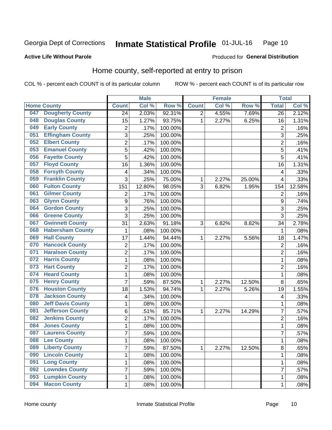#### Inmate Statistical Profile 01-JUL-16 Page 10

Produced for General Distribution

### **Active Life Without Parole**

## Home county, self-reported at entry to prison

COL % - percent each COUNT is of its particular column

|     |                          |                | <b>Male</b> |         |              | <b>Female</b> |        | <b>Total</b>   |        |
|-----|--------------------------|----------------|-------------|---------|--------------|---------------|--------|----------------|--------|
|     | <b>Home County</b>       | <b>Count</b>   | Col %       | Row %   | <b>Count</b> | Col %         | Row %  | <b>Total</b>   | Col %  |
| 047 | <b>Dougherty County</b>  | 24             | 2.03%       | 92.31%  | 2            | 4.55%         | 7.69%  | 26             | 2.12%  |
| 048 | <b>Douglas County</b>    | 15             | 1.27%       | 93.75%  | 1            | 2.27%         | 6.25%  | 16             | 1.31%  |
| 049 | <b>Early County</b>      | 2              | .17%        | 100.00% |              |               |        | $\overline{2}$ | .16%   |
| 051 | <b>Effingham County</b>  | 3              | .25%        | 100.00% |              |               |        | 3              | .25%   |
| 052 | <b>Elbert County</b>     | $\overline{c}$ | .17%        | 100.00% |              |               |        | $\overline{2}$ | .16%   |
| 053 | <b>Emanuel County</b>    | 5              | .42%        | 100.00% |              |               |        | 5              | .41%   |
| 056 | <b>Fayette County</b>    | 5              | .42%        | 100.00% |              |               |        | 5              | .41%   |
| 057 | <b>Floyd County</b>      | 16             | 1.36%       | 100.00% |              |               |        | 16             | 1.31%  |
| 058 | <b>Forsyth County</b>    | 4              | .34%        | 100.00% |              |               |        | 4              | .33%   |
| 059 | <b>Franklin County</b>   | 3              | .25%        | 75.00%  | 1            | 2.27%         | 25.00% | 4              | .33%   |
| 060 | <b>Fulton County</b>     | 151            | 12.80%      | 98.05%  | 3            | 6.82%         | 1.95%  | 154            | 12.58% |
| 061 | <b>Gilmer County</b>     | $\overline{2}$ | .17%        | 100.00% |              |               |        | $\overline{2}$ | .16%   |
| 063 | <b>Glynn County</b>      | 9              | .76%        | 100.00% |              |               |        | 9              | .74%   |
| 064 | <b>Gordon County</b>     | 3              | .25%        | 100.00% |              |               |        | 3              | .25%   |
| 066 | <b>Greene County</b>     | 3              | .25%        | 100.00% |              |               |        | 3              | .25%   |
| 067 | <b>Gwinnett County</b>   | 31             | 2.63%       | 91.18%  | 3            | 6.82%         | 8.82%  | 34             | 2.78%  |
| 068 | <b>Habersham County</b>  | 1              | .08%        | 100.00% |              |               |        | 1              | .08%   |
| 069 | <b>Hall County</b>       | 17             | 1.44%       | 94.44%  | 1            | 2.27%         | 5.56%  | 18             | 1.47%  |
| 070 | <b>Hancock County</b>    | 2              | .17%        | 100.00% |              |               |        | $\overline{2}$ | .16%   |
| 071 | <b>Haralson County</b>   | $\overline{2}$ | .17%        | 100.00% |              |               |        | $\overline{2}$ | .16%   |
| 072 | <b>Harris County</b>     | $\mathbf 1$    | .08%        | 100.00% |              |               |        | 1              | .08%   |
| 073 | <b>Hart County</b>       | $\overline{2}$ | .17%        | 100.00% |              |               |        | $\overline{2}$ | .16%   |
| 074 | <b>Heard County</b>      | 1              | .08%        | 100.00% |              |               |        | 1              | .08%   |
| 075 | <b>Henry County</b>      | $\overline{7}$ | .59%        | 87.50%  | 1            | 2.27%         | 12.50% | 8              | .65%   |
| 076 | <b>Houston County</b>    | 18             | 1.53%       | 94.74%  | 1            | 2.27%         | 5.26%  | 19             | 1.55%  |
| 078 | <b>Jackson County</b>    | 4              | .34%        | 100.00% |              |               |        | 4              | .33%   |
| 080 | <b>Jeff Davis County</b> | 1              | .08%        | 100.00% |              |               |        | 1              | .08%   |
| 081 | <b>Jefferson County</b>  | 6              | .51%        | 85.71%  | 1            | 2.27%         | 14.29% | 7              | .57%   |
| 082 | <b>Jenkins County</b>    | $\overline{c}$ | .17%        | 100.00% |              |               |        | $\overline{2}$ | .16%   |
| 084 | <b>Jones County</b>      | $\mathbf 1$    | .08%        | 100.00% |              |               |        | 1              | .08%   |
| 087 | <b>Laurens County</b>    | $\overline{7}$ | .59%        | 100.00% |              |               |        | 7              | .57%   |
| 088 | <b>Lee County</b>        | 1              | .08%        | 100.00% |              |               |        | 1              | .08%   |
| 089 | <b>Liberty County</b>    | $\overline{7}$ | .59%        | 87.50%  | $\mathbf 1$  | 2.27%         | 12.50% | 8              | .65%   |
| 090 | <b>Lincoln County</b>    | $\mathbf 1$    | .08%        | 100.00% |              |               |        | 1              | .08%   |
| 091 | <b>Long County</b>       | 1              | .08%        | 100.00% |              |               |        | 1              | .08%   |
| 092 | <b>Lowndes County</b>    | $\overline{7}$ | .59%        | 100.00% |              |               |        | 7              | .57%   |
| 093 | <b>Lumpkin County</b>    | 1              | .08%        | 100.00% |              |               |        | 1              | .08%   |
| 094 | <b>Macon County</b>      | $\mathbf{1}$   | .08%        | 100.00% |              |               |        | 1              | .08%   |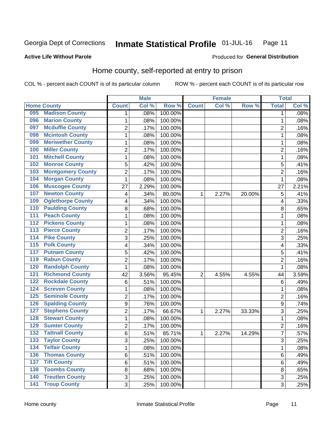#### Inmate Statistical Profile 01-JUL-16 Page 11

### **Active Life Without Parole**

### Produced for General Distribution

## Home county, self-reported at entry to prison

COL % - percent each COUNT is of its particular column

|                  |                          |                         | <b>Male</b> |         |                | <b>Female</b> |        | <b>Total</b>   |       |
|------------------|--------------------------|-------------------------|-------------|---------|----------------|---------------|--------|----------------|-------|
|                  | <b>Home County</b>       | <b>Count</b>            | Col%        | Row %   | <b>Count</b>   | Col %         | Row %  | <b>Total</b>   | Col % |
| 095              | <b>Madison County</b>    | 1                       | .08%        | 100.00% |                |               |        | 1              | .08%  |
| 096              | <b>Marion County</b>     | $\mathbf{1}$            | .08%        | 100.00% |                |               |        | 1              | .08%  |
| 097              | <b>Mcduffie County</b>   | $\overline{c}$          | .17%        | 100.00% |                |               |        | $\overline{c}$ | .16%  |
| 098              | <b>Mcintosh County</b>   | $\mathbf{1}$            | .08%        | 100.00% |                |               |        | 1              | .08%  |
| 099              | <b>Meriwether County</b> | $\mathbf 1$             | .08%        | 100.00% |                |               |        | 1              | .08%  |
| 100              | <b>Miller County</b>     | $\overline{2}$          | .17%        | 100.00% |                |               |        | $\overline{2}$ | .16%  |
| 101              | <b>Mitchell County</b>   | $\mathbf 1$             | .08%        | 100.00% |                |               |        | 1              | .08%  |
| 102              | <b>Monroe County</b>     | 5                       | .42%        | 100.00% |                |               |        | 5              | .41%  |
| 103              | <b>Montgomery County</b> | $\overline{c}$          | .17%        | 100.00% |                |               |        | $\overline{2}$ | .16%  |
| 104              | <b>Morgan County</b>     | $\mathbf{1}$            | .08%        | 100.00% |                |               |        | 1              | .08%  |
| 106              | <b>Muscogee County</b>   | 27                      | 2.29%       | 100.00% |                |               |        | 27             | 2.21% |
| 107              | <b>Newton County</b>     | $\overline{\mathbf{4}}$ | .34%        | 80.00%  | 1              | 2.27%         | 20.00% | 5              | .41%  |
| 109              | <b>Oglethorpe County</b> | 4                       | .34%        | 100.00% |                |               |        | 4              | .33%  |
| 110              | <b>Paulding County</b>   | 8                       | .68%        | 100.00% |                |               |        | 8              | .65%  |
| 111              | <b>Peach County</b>      | $\mathbf 1$             | .08%        | 100.00% |                |               |        | 1              | .08%  |
| 112              | <b>Pickens County</b>    | $\mathbf{1}$            | .08%        | 100.00% |                |               |        | 1              | .08%  |
| 113              | <b>Pierce County</b>     | $\overline{2}$          | .17%        | 100.00% |                |               |        | $\overline{2}$ | .16%  |
| 114              | <b>Pike County</b>       | 3                       | .25%        | 100.00% |                |               |        | 3              | .25%  |
| $\overline{115}$ | <b>Polk County</b>       | 4                       | .34%        | 100.00% |                |               |        | 4              | .33%  |
| 117              | <b>Putnam County</b>     | 5                       | .42%        | 100.00% |                |               |        | 5              | .41%  |
| 119              | <b>Rabun County</b>      | $\overline{2}$          | .17%        | 100.00% |                |               |        | $\overline{2}$ | .16%  |
| 120              | <b>Randolph County</b>   | $\mathbf{1}$            | .08%        | 100.00% |                |               |        | 1              | .08%  |
| 121              | <b>Richmond County</b>   | 42                      | 3.56%       | 95.45%  | $\overline{2}$ | 4.55%         | 4.55%  | 44             | 3.59% |
| 122              | <b>Rockdale County</b>   | 6                       | .51%        | 100.00% |                |               |        | 6              | .49%  |
| 124              | <b>Screven County</b>    | $\mathbf 1$             | .08%        | 100.00% |                |               |        | 1              | .08%  |
| 125              | <b>Seminole County</b>   | $\overline{c}$          | .17%        | 100.00% |                |               |        | $\overline{2}$ | .16%  |
| 126              | <b>Spalding County</b>   | $\boldsymbol{9}$        | .76%        | 100.00% |                |               |        | 9              | .74%  |
| 127              | <b>Stephens County</b>   | $\overline{c}$          | .17%        | 66.67%  | 1              | 2.27%         | 33.33% | 3              | .25%  |
| 128              | <b>Stewart County</b>    | $\mathbf 1$             | .08%        | 100.00% |                |               |        | 1              | .08%  |
| 129              | <b>Sumter County</b>     | $\overline{c}$          | .17%        | 100.00% |                |               |        | $\overline{2}$ | .16%  |
| 132              | <b>Tattnall County</b>   | 6                       | .51%        | 85.71%  | 1              | 2.27%         | 14.29% | 7              | .57%  |
| 133              | <b>Taylor County</b>     | 3                       | .25%        | 100.00% |                |               |        | 3              | .25%  |
| 134              | <b>Telfair County</b>    | $\mathbf{1}$            | .08%        | 100.00% |                |               |        | 1              | .08%  |
| 136              | <b>Thomas County</b>     | 6                       | .51%        | 100.00% |                |               |        | $\,6$          | .49%  |
| 137              | <b>Tift County</b>       | 6                       | .51%        | 100.00% |                |               |        | $\,6$          | .49%  |
| 138              | <b>Toombs County</b>     | 8                       | .68%        | 100.00% |                |               |        | 8              | .65%  |
| 140              | <b>Treutlen County</b>   | 3                       | .25%        | 100.00% |                |               |        | 3              | .25%  |
| $\overline{141}$ | <b>Troup County</b>      | 3                       | .25%        | 100.00% |                |               |        | 3              | .25%  |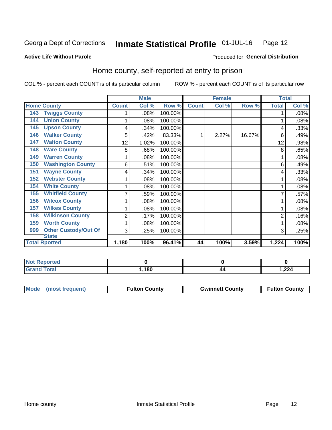#### Inmate Statistical Profile 01-JUL-16 Page 12

Produced for General Distribution

### **Active Life Without Parole**

## Home county, self-reported at entry to prison

COL % - percent each COUNT is of its particular column

|                                    |                | <b>Male</b> |         |              | <b>Female</b> |        | <b>Total</b> |       |
|------------------------------------|----------------|-------------|---------|--------------|---------------|--------|--------------|-------|
| <b>Home County</b>                 | <b>Count</b>   | Col %       | Row %   | <b>Count</b> | Col %         | Row %  | <b>Total</b> | Col % |
| <b>Twiggs County</b><br>143        |                | $.08\%$     | 100.00% |              |               |        |              | .08%  |
| <b>Union County</b><br>144         | 1              | .08%        | 100.00% |              |               |        |              | .08%  |
| <b>Upson County</b><br>145         | 4              | .34%        | 100.00% |              |               |        | 4            | .33%  |
| <b>Walker County</b><br>146        | 5              | .42%        | 83.33%  |              | 2.27%         | 16.67% | 6            | .49%  |
| <b>Walton County</b><br>147        | 12             | 1.02%       | 100.00% |              |               |        | 12           | .98%  |
| <b>Ware County</b><br>148          | 8              | .68%        | 100.00% |              |               |        | 8            | .65%  |
| <b>Warren County</b><br>149        |                | .08%        | 100.00% |              |               |        |              | .08%  |
| <b>Washington County</b><br>150    | 6              | .51%        | 100.00% |              |               |        | 6            | .49%  |
| <b>Wayne County</b><br>151         | 4              | .34%        | 100.00% |              |               |        | 4            | .33%  |
| <b>Webster County</b><br>152       |                | $.08\%$     | 100.00% |              |               |        |              | .08%  |
| <b>White County</b><br>154         | 1              | $.08\%$     | 100.00% |              |               |        |              | .08%  |
| <b>Whitfield County</b><br>155     | 7              | .59%        | 100.00% |              |               |        |              | .57%  |
| <b>Wilcox County</b><br>156        |                | .08%        | 100.00% |              |               |        |              | .08%  |
| <b>Wilkes County</b><br>157        | 1              | .08%        | 100.00% |              |               |        |              | .08%  |
| <b>Wilkinson County</b><br>158     | $\overline{2}$ | .17%        | 100.00% |              |               |        | 2            | .16%  |
| <b>Worth County</b><br>159         | 1              | .08%        | 100.00% |              |               |        |              | .08%  |
| <b>Other Custody/Out Of</b><br>999 | 3              | .25%        | 100.00% |              |               |        | 3            | .25%  |
| <b>State</b>                       |                |             |         |              |               |        |              |       |
| <b>Total Rported</b>               | 1,180          | 100%        | 96.41%  | 44           | 100%          | 3.59%  | 1,224        | 100%  |

| <b>Not Reported</b>     |       |             |
|-------------------------|-------|-------------|
| Гоtal<br>Grar<br>$\sim$ | 1,180 | <b>224,</b> |

| Mode (most frequent) | <b>Fulton County</b> | <b>Gwinnett County</b> | <b>Fulton County</b> |
|----------------------|----------------------|------------------------|----------------------|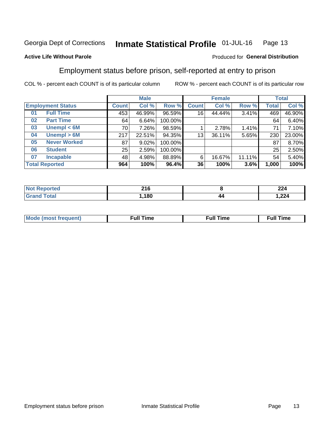#### Inmate Statistical Profile 01-JUL-16 Page 13

### **Active Life Without Parole**

### Produced for General Distribution

## Employment status before prison, self-reported at entry to prison

COL % - percent each COUNT is of its particular column

|                           |              | <b>Male</b> |         |              | <b>Female</b> |        |       | <b>Total</b> |
|---------------------------|--------------|-------------|---------|--------------|---------------|--------|-------|--------------|
| <b>Employment Status</b>  | <b>Count</b> | Col %       | Row %   | <b>Count</b> | Col %         | Row %  | Total | Col %        |
| <b>Full Time</b><br>01    | 453          | 46.99%      | 96.59%  | 16           | 44.44%        | 3.41%  | 469   | 46.90%       |
| <b>Part Time</b><br>02    | 64           | 6.64%       | 100.00% |              |               |        | 64    | 6.40%        |
| Unempl $<$ 6M<br>03       | 70           | 7.26%       | 98.59%  |              | 2.78%         | 1.41%  | 71    | 7.10%        |
| Unempl > 6M<br>04         | 217          | 22.51%      | 94.35%  | 13           | 36.11%        | 5.65%  | 230   | 23.00%       |
| <b>Never Worked</b><br>05 | 87           | 9.02%       | 100.00% |              |               |        | 87    | 8.70%        |
| <b>Student</b><br>06      | 25           | 2.59%       | 100.00% |              |               |        | 25    | 2.50%        |
| <b>Incapable</b><br>07    | 48           | 4.98%       | 88.89%  | 6            | 16.67%        | 11.11% | 54    | 5.40%        |
| <b>Total Reported</b>     | 964          | 100%        | 96.4%   | 36           | 100%          | 3.6%   | 1,000 | 100%         |

| <b>01 C</b><br>4 I V<br>$\sim$ |          | 22<br>, ,<br>44 T  |
|--------------------------------|----------|--------------------|
| ,180                           | 44<br>-- | $\Omega$<br>244, ا |

| Mc | ----<br>me<br>ш | nc<br>. |
|----|-----------------|---------|
|    |                 |         |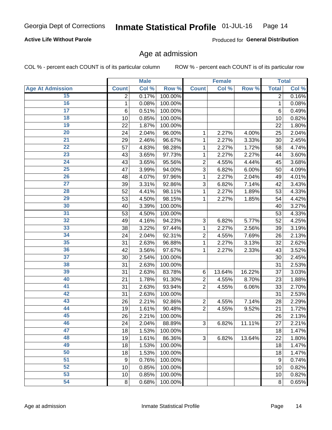### **Active Life Without Parole**

Produced for General Distribution

### Age at admission

COL % - percent each COUNT is of its particular column

|                         |                | <b>Male</b> |         |                | <b>Female</b> |        |                  | <b>Total</b> |
|-------------------------|----------------|-------------|---------|----------------|---------------|--------|------------------|--------------|
| <b>Age At Admission</b> | <b>Count</b>   | Col %       | Row %   | <b>Count</b>   | Col %         | Row %  | <b>Total</b>     | Col %        |
| 15                      | $\overline{2}$ | 0.17%       | 100.00% |                |               |        | $\overline{2}$   | 0.16%        |
| 16                      | 1              | 0.08%       | 100.00% |                |               |        | $\mathbf{1}$     | 0.08%        |
| $\overline{17}$         | 6              | 0.51%       | 100.00% |                |               |        | 6                | 0.49%        |
| 18                      | 10             | 0.85%       | 100.00% |                |               |        | 10               | 0.82%        |
| 19                      | 22             | 1.87%       | 100.00% |                |               |        | 22               | 1.80%        |
| $\overline{20}$         | 24             | 2.04%       | 96.00%  | 1              | 2.27%         | 4.00%  | 25               | 2.04%        |
| 21                      | 29             | 2.46%       | 96.67%  | 1              | 2.27%         | 3.33%  | 30               | 2.45%        |
| $\overline{22}$         | 57             | 4.83%       | 98.28%  | 1              | 2.27%         | 1.72%  | 58               | 4.74%        |
| $\overline{23}$         | 43             | 3.65%       | 97.73%  | 1              | 2.27%         | 2.27%  | 44               | 3.60%        |
| $\overline{24}$         | 43             | 3.65%       | 95.56%  | $\overline{2}$ | 4.55%         | 4.44%  | 45               | 3.68%        |
| $\overline{25}$         | 47             | 3.99%       | 94.00%  | $\overline{3}$ | 6.82%         | 6.00%  | 50               | 4.09%        |
| 26                      | 48             | 4.07%       | 97.96%  | 1              | 2.27%         | 2.04%  | 49               | 4.01%        |
| $\overline{27}$         | 39             | 3.31%       | 92.86%  | 3              | 6.82%         | 7.14%  | 42               | 3.43%        |
| 28                      | 52             | 4.41%       | 98.11%  | 1              | 2.27%         | 1.89%  | 53               | 4.33%        |
| 29                      | 53             | 4.50%       | 98.15%  | 1              | 2.27%         | 1.85%  | 54               | 4.42%        |
| 30                      | 40             | 3.39%       | 100.00% |                |               |        | 40               | 3.27%        |
| 31                      | 53             | 4.50%       | 100.00% |                |               |        | 53               | 4.33%        |
| 32                      | 49             | 4.16%       | 94.23%  | 3              | 6.82%         | 5.77%  | 52               | 4.25%        |
| 33                      | 38             | 3.22%       | 97.44%  | 1              | 2.27%         | 2.56%  | 39               | 3.19%        |
| $\overline{34}$         | 24             | 2.04%       | 92.31%  | $\overline{2}$ | 4.55%         | 7.69%  | 26               | 2.13%        |
| 35                      | 31             | 2.63%       | 96.88%  | 1              | 2.27%         | 3.13%  | 32               | 2.62%        |
| 36                      | 42             | 3.56%       | 97.67%  | 1              | 2.27%         | 2.33%  | 43               | 3.52%        |
| $\overline{37}$         | 30             | 2.54%       | 100.00% |                |               |        | 30               | 2.45%        |
| 38                      | 31             | 2.63%       | 100.00% |                |               |        | 31               | 2.53%        |
| 39                      | 31             | 2.63%       | 83.78%  | $\,6$          | 13.64%        | 16.22% | 37               | 3.03%        |
| 40                      | 21             | 1.78%       | 91.30%  | $\overline{c}$ | 4.55%         | 8.70%  | 23               | 1.88%        |
| 41                      | 31             | 2.63%       | 93.94%  | $\overline{2}$ | 4.55%         | 6.06%  | 33               | 2.70%        |
| 42                      | 31             | 2.63%       | 100.00% |                |               |        | 31               | 2.53%        |
| 43                      | 26             | 2.21%       | 92.86%  | $\overline{2}$ | 4.55%         | 7.14%  | 28               | 2.29%        |
| 44                      | 19             | 1.61%       | 90.48%  | $\overline{2}$ | 4.55%         | 9.52%  | 21               | 1.72%        |
| 45                      | 26             | 2.21%       | 100.00% |                |               |        | 26               | 2.13%        |
| 46                      | 24             | 2.04%       | 88.89%  | 3              | 6.82%         | 11.11% | 27               | 2.21%        |
| 47                      | 18             | 1.53%       | 100.00% |                |               |        | 18               | 1.47%        |
| 48                      | 19             | 1.61%       | 86.36%  | 3              | 6.82%         | 13.64% | 22               | 1.80%        |
| 49                      | 18             | 1.53%       | 100.00% |                |               |        | 18               | 1.47%        |
| 50                      | 18             | 1.53%       | 100.00% |                |               |        | 18               | 1.47%        |
| $\overline{51}$         | 9              | 0.76%       | 100.00% |                |               |        | $\boldsymbol{9}$ | 0.74%        |
| 52                      | 10             | 0.85%       | 100.00% |                |               |        | 10               | 0.82%        |
| 53                      | 10             | 0.85%       | 100.00% |                |               |        | 10               | 0.82%        |
| 54                      | 8              | 0.68%       | 100.00% |                |               |        | 8                | 0.65%        |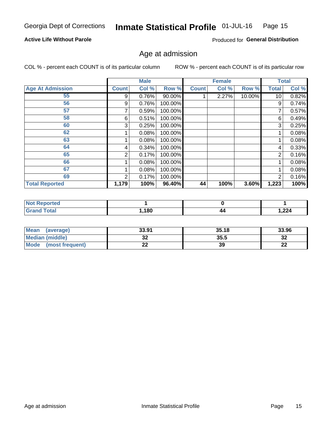#### Inmate Statistical Profile 01-JUL-16 Page 15

### **Active Life Without Parole**

Produced for General Distribution

### Age at admission

COL % - percent each COUNT is of its particular column

|                         |              | <b>Male</b> |         |              | <b>Female</b> |        |                 | <b>Total</b> |
|-------------------------|--------------|-------------|---------|--------------|---------------|--------|-----------------|--------------|
| <b>Age At Admission</b> | <b>Count</b> | Col %       | Row %   | <b>Count</b> | Col %         | Row %  | <b>Total</b>    | Col %        |
| 55                      | 9            | 0.76%       | 90.00%  |              | 2.27%         | 10.00% | 10 <sup>1</sup> | 0.82%        |
| 56                      | 9            | 0.76%       | 100.00% |              |               |        | 9               | 0.74%        |
| 57                      |              | 0.59%       | 100.00% |              |               |        |                 | 0.57%        |
| 58                      | 6            | 0.51%       | 100.00% |              |               |        | 6               | 0.49%        |
| 60                      | 3            | 0.25%       | 100.00% |              |               |        | 3               | 0.25%        |
| 62                      |              | 0.08%       | 100.00% |              |               |        |                 | 0.08%        |
| 63                      |              | 0.08%       | 100.00% |              |               |        |                 | 0.08%        |
| 64                      | 4            | 0.34%       | 100.00% |              |               |        | 4               | 0.33%        |
| 65                      | 2            | 0.17%       | 100.00% |              |               |        | $\overline{2}$  | 0.16%        |
| 66                      |              | 0.08%       | 100.00% |              |               |        |                 | 0.08%        |
| 67                      |              | 0.08%       | 100.00% |              |               |        |                 | 0.08%        |
| 69                      | 2            | 0.17%       | 100.00% |              |               |        | $\overline{2}$  | 0.16%        |
| <b>Total Reported</b>   | 1,179        | 100%        | 96.40%  | 44           | 100%          | 3.60%  | 1,223           | 100%         |

| <b>rted</b><br>NOI |      |    |       |
|--------------------|------|----|-------|
|                    | ,180 | 44 | 1,224 |

| <b>Mean</b><br>(average)       | 33.91   | 35.18 | 33.96     |
|--------------------------------|---------|-------|-----------|
| <b>Median (middle)</b>         | ົ<br>JŁ | 35.5  | າາ<br>⊾د  |
| <b>Mode</b><br>(most frequent) | ົ<br>LL | 39    | ne.<br>LL |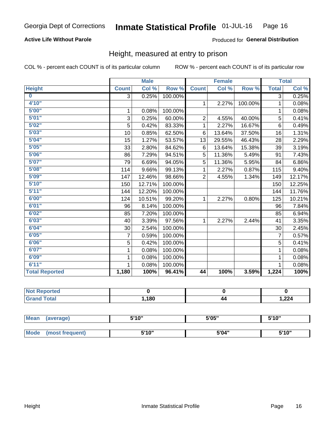### **Active Life Without Parole**

### Produced for General Distribution

### Height, measured at entry to prison

COL % - percent each COUNT is of its particular column

ROW % - percent each COUNT is of its particular row

|                       |                | <b>Male</b> |         |                | <b>Female</b> |         |                | <b>Total</b> |
|-----------------------|----------------|-------------|---------|----------------|---------------|---------|----------------|--------------|
| <b>Height</b>         | <b>Count</b>   | Col %       | Row %   | <b>Count</b>   | Col %         | Row %   | <b>Total</b>   | Col %        |
| $\bf{0}$              | $\overline{3}$ | 0.25%       | 100.00% |                |               |         | 3              | 0.25%        |
| 4'10"                 |                |             |         | $\mathbf{1}$   | 2.27%         | 100.00% | 1              | 0.08%        |
| 5'00''                | 1              | 0.08%       | 100.00% |                |               |         | 1              | 0.08%        |
| 5'01"                 | 3              | 0.25%       | 60.00%  | $\overline{2}$ | 4.55%         | 40.00%  | 5              | 0.41%        |
| 5'02"                 | 5              | 0.42%       | 83.33%  | 1              | 2.27%         | 16.67%  | 6              | 0.49%        |
| 5'03''                | 10             | 0.85%       | 62.50%  | 6              | 13.64%        | 37.50%  | 16             | 1.31%        |
| 5'04"                 | 15             | 1.27%       | 53.57%  | 13             | 29.55%        | 46.43%  | 28             | 2.29%        |
| 5'05"                 | 33             | 2.80%       | 84.62%  | 6              | 13.64%        | 15.38%  | 39             | 3.19%        |
| 5'06''                | 86             | 7.29%       | 94.51%  | 5              | 11.36%        | 5.49%   | 91             | 7.43%        |
| 5'07''                | 79             | 6.69%       | 94.05%  | 5              | 11.36%        | 5.95%   | 84             | 6.86%        |
| 5'08''                | 114            | 9.66%       | 99.13%  | 1              | 2.27%         | 0.87%   | 115            | 9.40%        |
| 5'09''                | 147            | 12.46%      | 98.66%  | $\overline{2}$ | 4.55%         | 1.34%   | 149            | 12.17%       |
| 5'10''                | 150            | 12.71%      | 100.00% |                |               |         | 150            | 12.25%       |
| 5'11"                 | 144            | 12.20%      | 100.00% |                |               |         | 144            | 11.76%       |
| 6'00''                | 124            | 10.51%      | 99.20%  | $\mathbf{1}$   | 2.27%         | 0.80%   | 125            | 10.21%       |
| 6'01''                | 96             | 8.14%       | 100.00% |                |               |         | 96             | 7.84%        |
| 6'02"                 | 85             | 7.20%       | 100.00% |                |               |         | 85             | 6.94%        |
| 6'03''                | 40             | 3.39%       | 97.56%  | $\mathbf{1}$   | 2.27%         | 2.44%   | 41             | 3.35%        |
| 6'04"                 | 30             | 2.54%       | 100.00% |                |               |         | 30             | 2.45%        |
| 6'05"                 | 7              | 0.59%       | 100.00% |                |               |         | $\overline{7}$ | 0.57%        |
| 6'06''                | 5              | 0.42%       | 100.00% |                |               |         | 5              | 0.41%        |
| 6'07''                | 1              | 0.08%       | 100.00% |                |               |         | 1              | 0.08%        |
| 6'09''                | 1              | 0.08%       | 100.00% |                |               |         | 1              | 0.08%        |
| 6'11''                |                | 0.08%       | 100.00% |                |               |         | 1              | 0.08%        |
| <b>Total Reported</b> | 1,180          | 100%        | 96.41%  | 44             | 100%          | 3.59%   | 1,224          | 100%         |

| <b>Not Reported</b> |      |    |       |
|---------------------|------|----|-------|
| `ota.               | ,180 | 44 | 1,224 |

| Mean        | (average)       | 5'10" | 5'05" | 5'10" |
|-------------|-----------------|-------|-------|-------|
|             |                 |       |       |       |
| <b>Mode</b> | (most frequent) | 5'10" | 5'04" | 5'10" |

Height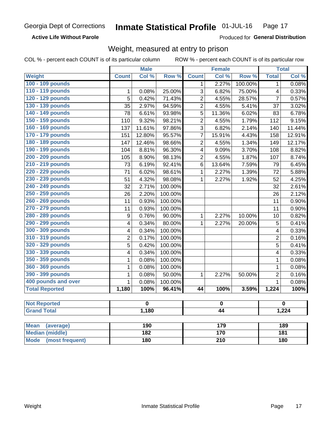**Active Life Without Parole** 

Produced for General Distribution

## Weight, measured at entry to prison

COL % - percent each COUNT is of its particular column

|                          |                  | <b>Male</b>             |         |                         | <b>Female</b> |         |                | <b>Total</b>            |
|--------------------------|------------------|-------------------------|---------|-------------------------|---------------|---------|----------------|-------------------------|
| <b>Weight</b>            | <b>Count</b>     | Col %                   | Row %   | <b>Count</b>            | Col %         | Row %   | <b>Total</b>   | Col %                   |
| 100 - 109 pounds         |                  |                         |         | 1                       | 2.27%         | 100.00% | 1              | 0.08%                   |
| 110 - 119 pounds         | 1                | 0.08%                   | 25.00%  | 3                       | 6.82%         | 75.00%  | 4              | 0.33%                   |
| 120 - 129 pounds         | $\overline{5}$   | 0.42%                   | 71.43%  | $\overline{2}$          | 4.55%         | 28.57%  | $\overline{7}$ | 0.57%                   |
| 130 - 139 pounds         | 35               | 2.97%                   | 94.59%  | $\overline{2}$          | 4.55%         | 5.41%   | 37             | 3.02%                   |
| 140 - 149 pounds         | 78               | 6.61%                   | 93.98%  | 5                       | 11.36%        | 6.02%   | 83             | 6.78%                   |
| 150 - 159 pounds         | 110              | 9.32%                   | 98.21%  | $\overline{2}$          | 4.55%         | 1.79%   | 112            | 9.15%                   |
| 160 - 169 pounds         | 137              | 11.61%                  | 97.86%  | 3                       | 6.82%         | 2.14%   | 140            | 11.44%                  |
| 170 - 179 pounds         | 151              | 12.80%                  | 95.57%  | $\overline{7}$          | 15.91%        | 4.43%   | 158            | 12.91%                  |
| 180 - 189 pounds         | 147              | 12.46%                  | 98.66%  | $\overline{2}$          | 4.55%         | 1.34%   | 149            | 12.17%                  |
| 190 - 199 pounds         | 104              | 8.81%                   | 96.30%  | $\overline{\mathbf{4}}$ | 9.09%         | 3.70%   | 108            | 8.82%                   |
| 200 - 209 pounds         | 105              | 8.90%                   | 98.13%  | $\overline{2}$          | 4.55%         | 1.87%   | 107            | 8.74%                   |
| 210 - 219 pounds         | 73               | 6.19%                   | 92.41%  | 6                       | 13.64%        | 7.59%   | 79             | 6.45%                   |
| 220 - 229 pounds         | 71               | 6.02%                   | 98.61%  | 1                       | 2.27%         | 1.39%   | 72             | 5.88%                   |
| 230 - 239 pounds         | 51               | 4.32%                   | 98.08%  | 1                       | 2.27%         | 1.92%   | 52             | 4.25%                   |
| 240 - 249 pounds         | 32               | 2.71%                   | 100.00% |                         |               |         | 32             | 2.61%                   |
| 250 - 259 pounds         | 26               | 2.20%                   | 100.00% |                         |               |         | 26             | 2.12%                   |
| 260 - 269 pounds         | 11               | 0.93%                   | 100.00% |                         |               |         | 11             | 0.90%                   |
| 270 - 279 pounds         | 11               | 0.93%                   | 100.00% |                         |               |         | 11             | 0.90%                   |
| 280 - 289 pounds         | $\boldsymbol{9}$ | 0.76%                   | 90.00%  | 1                       | 2.27%         | 10.00%  | 10             | 0.82%                   |
| 290 - 299 pounds         | 4                | 0.34%                   | 80.00%  | 1                       | 2.27%         | 20.00%  | 5              | 0.41%                   |
| 300 - 309 pounds         | 4                | 0.34%                   | 100.00% |                         |               |         | 4              | 0.33%                   |
| 310 - 319 pounds         | $\overline{2}$   | 0.17%                   | 100.00% |                         |               |         | $\overline{2}$ | 0.16%                   |
| 320 - 329 pounds         | $\overline{5}$   | 0.42%                   | 100.00% |                         |               |         | 5              | 0.41%                   |
| 330 - 339 pounds         | 4                | 0.34%                   | 100.00% |                         |               |         | 4              | 0.33%                   |
| 350 - 359 pounds         | 1                | 0.08%                   | 100.00% |                         |               |         | $\mathbf 1$    | 0.08%                   |
| 360 - 369 pounds         | 1                | 0.08%                   | 100.00% |                         |               |         | $\mathbf{1}$   | 0.08%                   |
| 390 - 399 pounds         | 1                | 0.08%                   | 50.00%  | $\mathbf{1}$            | 2.27%         | 50.00%  | $\overline{2}$ | 0.16%                   |
| 400 pounds and over      | $\mathbf{1}$     | 0.08%                   | 100.00% |                         |               |         | $\mathbf{1}$   | 0.08%                   |
| <b>Total Reported</b>    | 1,180            | 100%                    | 96.41%  | $\overline{44}$         | 100%          | 3.59%   | 1,224          | 100%                    |
| <b>Not Reported</b>      |                  | $\overline{\mathbf{0}}$ |         |                         | $\mathbf 0$   |         |                | $\overline{\mathbf{0}}$ |
| <b>Grand Total</b>       |                  | 1,180                   |         | $\overline{44}$         |               |         | 1,224          |                         |
|                          |                  |                         |         |                         |               |         |                |                         |
| <b>Mean</b><br>(average) |                  | 190                     |         |                         | 179           |         |                | 189                     |

| <b>Mean</b><br>(average) | 190 | 179 | 189 |
|--------------------------|-----|-----|-----|
| Median (middle)          | 182 | 170 | 181 |
| Mode (most frequent)     | 180 | 210 | 180 |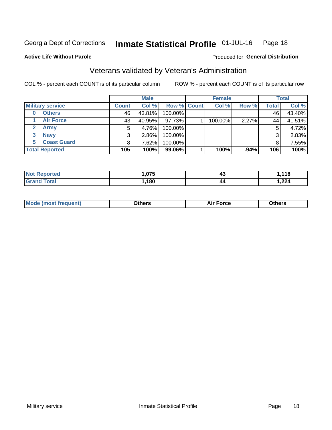#### Inmate Statistical Profile 01-JUL-16 Page 18

**Active Life Without Parole** 

### Produced for General Distribution

## Veterans validated by Veteran's Administration

COL % - percent each COUNT is of its particular column

|                          | <b>Male</b>  |          |             | <b>Female</b> |         |         | <b>Total</b> |        |
|--------------------------|--------------|----------|-------------|---------------|---------|---------|--------------|--------|
| <b>Military service</b>  | <b>Count</b> | Col %    | Row % Count |               | Col %   | Row %   | <b>Total</b> | Col %  |
| <b>Others</b><br>0       | 46           | 43.81%   | 100.00%     |               |         |         | 46           | 43.40% |
| <b>Air Force</b>         | 43           | 40.95%   | 97.73%      |               | 100.00% | 2.27%   | 44           | 41.51% |
| Army                     | 5            | 4.76%    | 100.00%     |               |         |         | 5            | 4.72%  |
| <b>Navy</b><br>3         |              | $2.86\%$ | 100.00%     |               |         |         | 3            | 2.83%  |
| <b>Coast Guard</b><br>5. |              | 7.62%    | 100.00%     |               |         |         |              | 7.55%  |
| <b>Total Reported</b>    | 105          | 100%     | 99.06%      |               | 100%    | $.94\%$ | 106          | 100%   |

| rted. | .075 | 40 | 440<br><u>, , a</u> |
|-------|------|----|---------------------|
| Гоtal | .180 | 44 | ົດດາ<br>, 22. 7     |

| Mo<br>m | ∖‡h∧rc<br>_____ | $-0.002$<br>28 F T<br>UI CE | <b>Others</b><br>____ |
|---------|-----------------|-----------------------------|-----------------------|
|         |                 |                             |                       |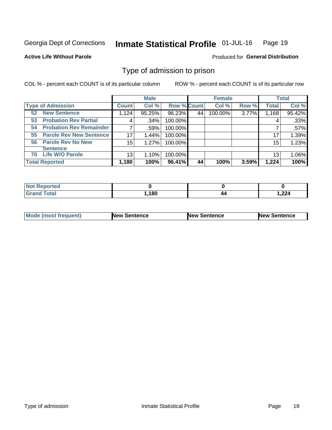#### Inmate Statistical Profile 01-JUL-16 Page 19

**Active Life Without Parole** 

Produced for General Distribution

## Type of admission to prison

COL % - percent each COUNT is of its particular column

|                                      |              | <b>Male</b> |                    |    | <b>Female</b> |       |              | <b>Total</b> |
|--------------------------------------|--------------|-------------|--------------------|----|---------------|-------|--------------|--------------|
| <b>Type of Admission</b>             | <b>Count</b> | Col %       | <b>Row % Count</b> |    | Col %         | Row % | <b>Total</b> | Col %        |
| <b>New Sentence</b><br>52            | 1,124        | 95.25%      | 96.23%             | 44 | 100.00%       | 3.77% | 1,168        | 95.42%       |
| <b>Probation Rev Partial</b><br>53   | 4            | .34%        | 100.00%            |    |               |       | 4            | .33%         |
| <b>Probation Rev Remainder</b><br>54 |              | .59%        | 100.00%            |    |               |       |              | .57%         |
| <b>Parole Rev New Sentence</b><br>55 | 17           | 1.44%       | 100.00%            |    |               |       | 17           | 1.39%        |
| 56 Parole Rev No New                 | 15           | 1.27%       | 100.00%            |    |               |       | 15           | 1.23%        |
| <b>Sentence</b>                      |              |             |                    |    |               |       |              |              |
| <b>Life W/O Parole</b><br>70         | 13           | 1.10%       | 100.00%            |    |               |       | 13           | 1.06%        |
| <b>Total Reported</b>                | 1,180        | 100%        | 96.41%             | 44 | 100%          | 3.59% | 1,224        | 100%         |

| Reported<br>' NOT               |       |    |       |
|---------------------------------|-------|----|-------|
| <b>otal</b><br>$\mathbf{v}$ and | 1,180 | 44 | 1,224 |

| <b>Mode (most frequent)</b> | <b>New Sentence</b> | <b>New Sentence</b> | <b>New Sentence</b> |
|-----------------------------|---------------------|---------------------|---------------------|
|                             |                     |                     |                     |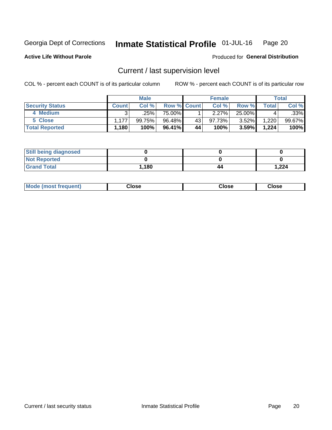#### Inmate Statistical Profile 01-JUL-16 Page 20

**Active Life Without Parole** 

Produced for General Distribution

## Current / last supervision level

COL % - percent each COUNT is of its particular column

|                        | <b>Male</b>  |           |                    | <b>Female</b> |        |          | <b>Total</b> |        |
|------------------------|--------------|-----------|--------------------|---------------|--------|----------|--------------|--------|
| <b>Security Status</b> | <b>Count</b> | Col%      | <b>Row % Count</b> |               | Col %  | Row %    | Total        | Col %  |
| 4 Medium               | ົ            | ا 25%.    | 75.00%             |               | 2.27%  | 25.00%   |              | .33%   |
| 5 Close                | 1.177        | $99.75\%$ | 96.48%             | 43            | 97.73% | $3.52\%$ | 1,220        | 99.67% |
| <b>Total Reported</b>  | ∣ 180. ا     | 100%      | 96.41%             | 44            | 100%   | 3.59%    | 1,224        | 100%   |

| <b>Still being diagnosed</b> |       |    |       |
|------------------------------|-------|----|-------|
| <b>Not Reported</b>          |       |    |       |
| <b>Grand Total</b>           | 1,180 | 44 | 1,224 |

| <b>AhoM</b><br>rreauent) | <b>Close</b> | Close | Close |
|--------------------------|--------------|-------|-------|
|                          |              |       |       |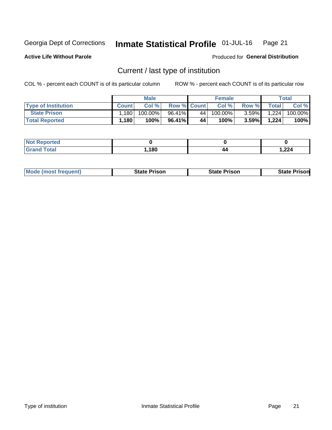#### Inmate Statistical Profile 01-JUL-16 Page 21

**Active Life Without Parole** 

Produced for General Distribution

## Current / last type of institution

COL % - percent each COUNT is of its particular column

|                            | <b>Male</b>  |         |                    | <b>Female</b> |            |          | Total        |         |
|----------------------------|--------------|---------|--------------------|---------------|------------|----------|--------------|---------|
| <b>Type of Institution</b> | <b>Count</b> | Col %   | <b>Row % Count</b> |               | Col %      | Row %    | <b>Total</b> | Col %   |
| <b>State Prison</b>        | .180         | 100.00% | 96.41%             | 44            | $100.00\%$ | $3.59\%$ | 1.224        | 100.00% |
| <b>Total Reported</b>      | 1,180        | 100%    | 96.41%             | 44            | 100%       | $3.59\%$ | 1,224        | 100%    |

| rted<br>. |      |    |       |
|-----------|------|----|-------|
|           | ,180 | 44 | 1,224 |

| <b>Mode (most frequent)</b> | State Prison | <b>State Prison</b> | State<br>⊦ Prisonl |
|-----------------------------|--------------|---------------------|--------------------|
|                             |              |                     |                    |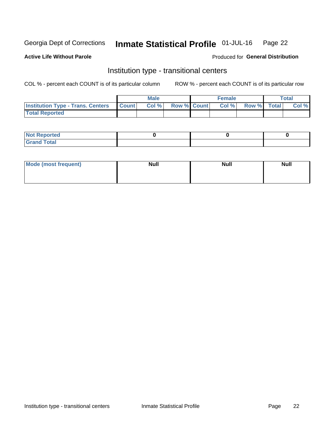#### Inmate Statistical Profile 01-JUL-16 Page 22

### **Active Life Without Parole**

### Produced for General Distribution

## Institution type - transitional centers

COL % - percent each COUNT is of its particular column

|                                                | Male |       |                    | <b>Female</b> |  |                   | Total |       |
|------------------------------------------------|------|-------|--------------------|---------------|--|-------------------|-------|-------|
| <b>Institution Type - Trans. Centers Count</b> |      | Col % | <b>Row % Count</b> |               |  | Col % Row % Total |       | Col % |
| <b>Total Reported</b>                          |      |       |                    |               |  |                   |       |       |

| <b>Reported</b><br><b>NOT</b><br>$\sim$            |  |  |
|----------------------------------------------------|--|--|
| $f$ $f \circ f \circ f$<br>$C = 1$<br><b>TULAI</b> |  |  |

| Mode (most frequent) | <b>Null</b> | <b>Null</b> | <b>Null</b> |
|----------------------|-------------|-------------|-------------|
|                      |             |             |             |
|                      |             |             |             |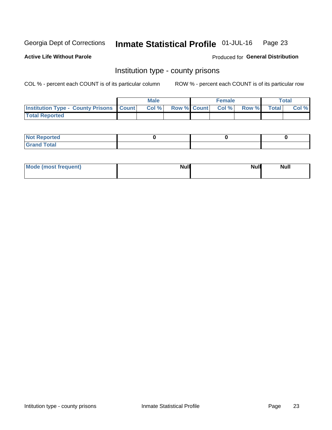#### Inmate Statistical Profile 01-JUL-16 Page 23

**Active Life Without Parole** 

**Produced for General Distribution** 

### Institution type - county prisons

COL % - percent each COUNT is of its particular column

|                                                    | <b>Male</b> |  | <b>Female</b>            |             | <b>Total</b> |
|----------------------------------------------------|-------------|--|--------------------------|-------------|--------------|
| <b>Institution Type - County Prisons   Count  </b> | Col %       |  | <b>Row % Count Col %</b> | Row % Total | Col %        |
| <b>Total Reported</b>                              |             |  |                          |             |              |

| <b>Not</b><br>: Reported<br> |  |  |
|------------------------------|--|--|
| <b>Total</b><br>---          |  |  |

| Mode (most frequent) | <b>Null</b> | <b>Null</b><br><b>Null</b> |
|----------------------|-------------|----------------------------|
|                      |             |                            |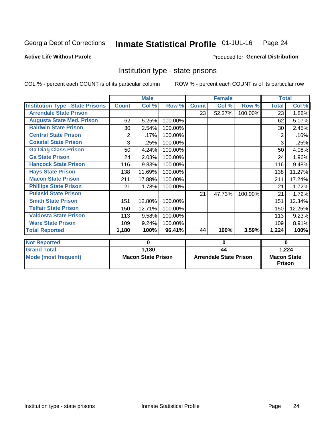#### Inmate Statistical Profile 01-JUL-16 Page 24

#### **Active Life Without Parole**

### Produced for General Distribution

### Institution type - state prisons

COL % - percent each COUNT is of its particular column

|                                         |              | <b>Male</b>               |         |              | <b>Female</b>                 |         | <b>Total</b>                        |          |
|-----------------------------------------|--------------|---------------------------|---------|--------------|-------------------------------|---------|-------------------------------------|----------|
| <b>Institution Type - State Prisons</b> | <b>Count</b> | Col %                     | Row %   | <b>Count</b> | Col %                         | Row %   | <b>Total</b>                        | Col %    |
| <b>Arrendale State Prison</b>           |              |                           |         | 23           | 52.27%                        | 100.00% | 23                                  | 1.88%    |
| <b>Augusta State Med. Prison</b>        | 62           | 5.25%                     | 100.00% |              |                               |         | 62                                  | 5.07%    |
| <b>Baldwin State Prison</b>             | 30           | 2.54%                     | 100.00% |              |                               |         | 30                                  | 2.45%    |
| <b>Central State Prison</b>             | 2            | .17%                      | 100.00% |              |                               |         | 2                                   | .16%     |
| <b>Coastal State Prison</b>             | 3            | .25%                      | 100.00% |              |                               |         | 3                                   | .25%     |
| <b>Ga Diag Class Prison</b>             | 50           | 4.24%                     | 100.00% |              |                               |         | 50                                  | 4.08%    |
| <b>Ga State Prison</b>                  | 24           | 2.03%                     | 100.00% |              |                               |         | 24                                  | 1.96%    |
| <b>Hancock State Prison</b>             | 116          | 9.83%                     | 100.00% |              |                               |         | 116                                 | 9.48%    |
| <b>Hays State Prison</b>                | 138          | 11.69%                    | 100.00% |              |                               |         | 138                                 | 11.27%   |
| <b>Macon State Prison</b>               | 211          | 17.88%                    | 100.00% |              |                               |         | 211                                 | 17.24%   |
| <b>Phillips State Prison</b>            | 21           | 1.78%                     | 100.00% |              |                               |         | 21                                  | 1.72%    |
| <b>Pulaski State Prison</b>             |              |                           |         | 21           | 47.73%                        | 100.00% | 21                                  | 1.72%    |
| <b>Smith State Prison</b>               | 151          | 12.80%                    | 100.00% |              |                               |         | 151                                 | 12.34%   |
| <b>Telfair State Prison</b>             | 150          | 12.71%                    | 100.00% |              |                               |         | 150                                 | 12.25%   |
| <b>Valdosta State Prison</b>            | 113          | 9.58%                     | 100.00% |              |                               |         | 113                                 | 9.23%    |
| <b>Ware State Prison</b>                | 109          | 9.24%                     | 100.00% |              |                               |         | 109                                 | 8.91%    |
| <b>Total Reported</b>                   | 1,180        | 100%                      | 96.41%  | 44           | 100%                          | 3.59%   | 1,224                               | 100%     |
| <b>Not Reported</b>                     |              | $\mathbf 0$               |         |              | 0                             |         |                                     | $\bf{0}$ |
| <b>Grand Total</b>                      |              | 1,180                     |         |              | $\overline{44}$               |         |                                     | 1,224    |
|                                         |              | <b>Macon State Prison</b> |         |              | <b>Arrendale State Prison</b> |         |                                     |          |
| <b>Mode (most frequent)</b>             |              |                           |         |              |                               |         | <b>Macon State</b><br><b>Prison</b> |          |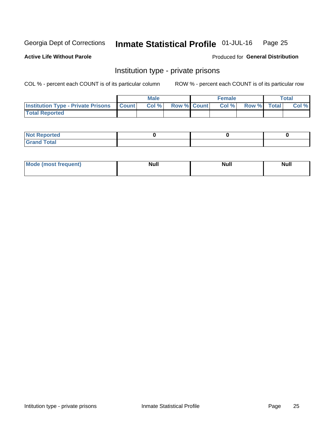#### Inmate Statistical Profile 01-JUL-16 Page 25

**Active Life Without Parole** 

Produced for General Distribution

## Institution type - private prisons

COL % - percent each COUNT is of its particular column

|                                                     | <b>Male</b> |                    | <b>Female</b> |             | Total |
|-----------------------------------------------------|-------------|--------------------|---------------|-------------|-------|
| <b>Institution Type - Private Prisons   Count  </b> | Col %       | <b>Row % Count</b> | Col %         | Row % Total | Col % |
| <b>Total Reported</b>                               |             |                    |               |             |       |

| Not Reported          |  |  |
|-----------------------|--|--|
| <b>Cotal</b><br>_____ |  |  |

| <b>Mo</b><br>frequent) | <b>Null</b> | <b>Null</b> | . . I *<br><b>IVUII</b> |
|------------------------|-------------|-------------|-------------------------|
|                        |             |             |                         |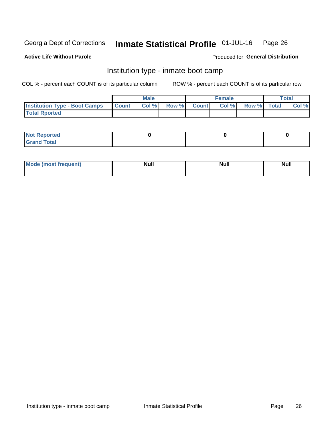#### Inmate Statistical Profile 01-JUL-16 Page 26

### **Active Life Without Parole**

### Produced for General Distribution

## Institution type - inmate boot camp

COL % - percent each COUNT is of its particular column

|                                      |              | <b>Male</b> |             | <b>Female</b> |             | Total |
|--------------------------------------|--------------|-------------|-------------|---------------|-------------|-------|
| <b>Institution Type - Boot Camps</b> | <b>Count</b> | Col %       | Row % Count | Col%          | Row % Total | Col % |
| <b>Total Rported</b>                 |              |             |             |               |             |       |

| <b>Not Reported</b>                   |  |  |
|---------------------------------------|--|--|
| <b>Total</b><br><b>C HAM</b><br>_____ |  |  |

| Mod<br>uamo | Nul.<br>$- - - - - -$ | <b>Null</b> | <br>uu.<br>------ |
|-------------|-----------------------|-------------|-------------------|
|             |                       |             |                   |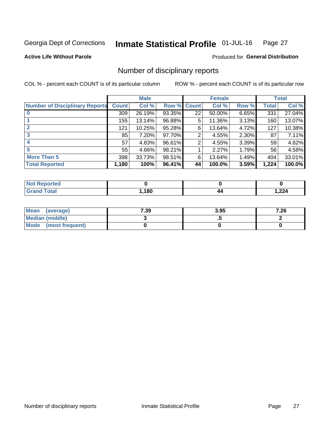#### Inmate Statistical Profile 01-JUL-16 Page 27

**Active Life Without Parole** 

Produced for General Distribution

## Number of disciplinary reports

COL % - percent each COUNT is of its particular column

|                                       |              | <b>Male</b> |        |             | <b>Female</b> |       |       | <b>Total</b> |
|---------------------------------------|--------------|-------------|--------|-------------|---------------|-------|-------|--------------|
| <b>Number of Disciplinary Reports</b> | <b>Count</b> | Col %       |        | Row % Count | Col %         | Row % | Total | Col %        |
|                                       | 309          | 26.19%      | 93.35% | 22          | 50.00%        | 6.65% | 331   | 27.04%       |
|                                       | 155          | 13.14%      | 96.88% | 5           | 11.36%        | 3.13% | 160   | 13.07%       |
|                                       | 121          | 10.25%      | 95.28% | 6           | 13.64%        | 4.72% | 127   | 10.38%       |
| 3                                     | 85           | 7.20%       | 97.70% | 2           | 4.55%         | 2.30% | 87    | 7.11%        |
|                                       | 57           | 4.83%       | 96.61% | 2           | 4.55%         | 3.39% | 59    | 4.82%        |
| 5                                     | 55           | 4.66%       | 98.21% |             | 2.27%         | 1.79% | 56    | 4.58%        |
| <b>More Than 5</b>                    | 398          | 33.73%      | 98.51% | 6           | 13.64%        | 1.49% | 404   | 33.01%       |
| <b>Total Reported</b>                 | 1,180        | 100%        | 96.41% | 44          | 100.0%        | 3.59% | 1,224 | 100.0%       |

| <b>Not Reported</b> |     |    |       |
|---------------------|-----|----|-------|
| 「otal               | 180 | 44 | 1,224 |

| Mean (average)         | 7.39 | 3.95 | 7.26 |
|------------------------|------|------|------|
| <b>Median (middle)</b> |      |      |      |
| Mode (most frequent)   |      |      |      |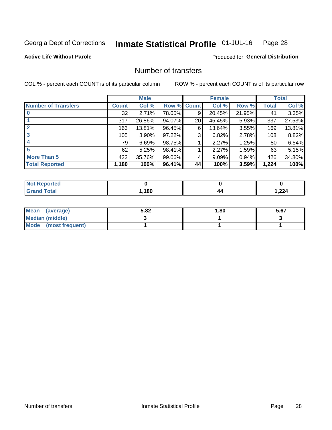#### Inmate Statistical Profile 01-JUL-16 Page 28

### **Active Life Without Parole**

### **Produced for General Distribution**

## Number of transfers

COL % - percent each COUNT is of its particular column

|                            |         | <b>Male</b> |             |                 | <b>Female</b> |          |       | <b>Total</b> |
|----------------------------|---------|-------------|-------------|-----------------|---------------|----------|-------|--------------|
| <b>Number of Transfers</b> | Count l | Col %       | Row % Count |                 | Col %         | Row %    | Total | Col %        |
|                            | 32      | 2.71%       | 78.05%      | 9               | 20.45%        | 21.95%   | 41    | 3.35%        |
|                            | 317     | 26.86%      | 94.07%      | 20 <sup>°</sup> | 45.45%        | 5.93%    | 337   | 27.53%       |
| 2                          | 163     | 13.81%      | 96.45%      | 6               | 13.64%        | 3.55%    | 169   | 13.81%       |
| 3                          | 105     | $8.90\%$    | 97.22%      | 3               | 6.82%         | $2.78\%$ | 108   | 8.82%        |
|                            | 79      | 6.69%       | 98.75%      |                 | 2.27%         | 1.25%    | 80    | 6.54%        |
| 5                          | 62      | 5.25%       | 98.41%      |                 | 2.27%         | 1.59%    | 63    | 5.15%        |
| <b>More Than 5</b>         | 422     | 35.76%      | 99.06%      | 4               | 9.09%         | $0.94\%$ | 426   | 34.80%       |
| <b>Total Reported</b>      | 1,180   | 100%        | 96.41%      | 44              | 100%          | 3.59%    | 1,224 | 100%         |

| <b>Not Reported</b> |      |    |       |
|---------------------|------|----|-------|
| <sup>-</sup> otal   | ,180 | 44 | 1,224 |

| Mean (average)       | 5.82 | 1.80 | 5.67 |
|----------------------|------|------|------|
| Median (middle)      |      |      |      |
| Mode (most frequent) |      |      |      |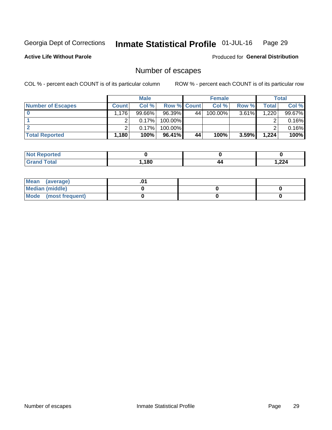#### Inmate Statistical Profile 01-JUL-16 Page 29

**Active Life Without Parole** 

Produced for General Distribution

## Number of escapes

COL % - percent each COUNT is of its particular column

|                          |                     | <b>Male</b> |                    |    | <b>Female</b> |          |       | Total  |
|--------------------------|---------------------|-------------|--------------------|----|---------------|----------|-------|--------|
| <b>Number of Escapes</b> | <b>Count</b>        | Col %       | <b>Row % Count</b> |    | Col %         | Row %    | Total | Col %  |
|                          | $.176$ <sup>1</sup> | $99.66\%$   | 96.39%             | 44 | $100.00\%$    | $3.61\%$ | 1,220 | 99.67% |
|                          |                     | 0.17%       | 100.00%            |    |               |          |       | 0.16%  |
|                          |                     | 0.17%       | $100.00\%$         |    |               |          |       | 0.16%  |
| <b>Total Reported</b>    | $.180+$             | 100%        | $96.41\%$          | 44 | 100%          | 3.59%    | 1,224 | 100%   |

| <b>Not Reported</b> |     |    |       |
|---------------------|-----|----|-------|
| Total               | 180 | 44 | 1,224 |

| Mean (average)       |  |  |
|----------------------|--|--|
| Median (middle)      |  |  |
| Mode (most frequent) |  |  |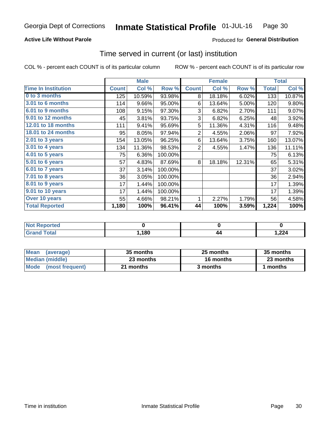### **Active Life Without Parole**

### Produced for General Distribution

### Time served in current (or last) institution

COL % - percent each COUNT is of its particular column

|                              |              | <b>Male</b> |         |                | <b>Female</b> |        |              | <b>Total</b> |
|------------------------------|--------------|-------------|---------|----------------|---------------|--------|--------------|--------------|
| <b>Time In Institution</b>   | <b>Count</b> | Col %       | Row %   | <b>Count</b>   | Col %         | Row %  | <b>Total</b> | Col %        |
| 0 to 3 months                | 125          | 10.59%      | 93.98%  | 8              | 18.18%        | 6.02%  | 133          | 10.87%       |
| <b>3.01 to 6 months</b>      | 114          | 9.66%       | 95.00%  | 6              | 13.64%        | 5.00%  | 120          | 9.80%        |
| 6.01 to 9 months             | 108          | 9.15%       | 97.30%  | 3              | 6.82%         | 2.70%  | 111          | 9.07%        |
| 9.01 to 12 months            | 45           | 3.81%       | 93.75%  | 3              | 6.82%         | 6.25%  | 48           | 3.92%        |
| <b>12.01 to 18 months</b>    | 111          | 9.41%       | 95.69%  | 5              | 11.36%        | 4.31%  | 116          | 9.48%        |
| <b>18.01 to 24 months</b>    | 95           | 8.05%       | 97.94%  | $\overline{2}$ | 4.55%         | 2.06%  | 97           | 7.92%        |
| $2.01$ to 3 years            | 154          | 13.05%      | 96.25%  | 6              | 13.64%        | 3.75%  | 160          | 13.07%       |
| 3.01 to 4 years              | 134          | 11.36%      | 98.53%  | $\overline{2}$ | 4.55%         | 1.47%  | 136          | 11.11%       |
| $4.01$ to 5 years            | 75           | 6.36%       | 100.00% |                |               |        | 75           | 6.13%        |
| $\overline{5.01}$ to 6 years | 57           | 4.83%       | 87.69%  | 8              | 18.18%        | 12.31% | 65           | 5.31%        |
| 6.01 to 7 years              | 37           | 3.14%       | 100.00% |                |               |        | 37           | 3.02%        |
| $7.01$ to 8 years            | 36           | 3.05%       | 100.00% |                |               |        | 36           | 2.94%        |
| 8.01 to 9 years              | 17           | 1.44%       | 100.00% |                |               |        | 17           | 1.39%        |
| 9.01 to 10 years             | 17           | 1.44%       | 100.00% |                |               |        | 17           | 1.39%        |
| Over 10 years                | 55           | 4.66%       | 98.21%  | 1              | 2.27%         | 1.79%  | 56           | 4.58%        |
| <b>Total Reported</b>        | 1,180        | 100%        | 96.41%  | 44             | 100%          | 3.59%  | 1,224        | 100%         |

| <b>Not Reported</b> |      |           |       |
|---------------------|------|-----------|-------|
| <b>Total</b>        | ,180 | 44<br>. . | 1,224 |

| <b>Mean</b><br>(average) | 35 months | 25 months | 35 months |
|--------------------------|-----------|-----------|-----------|
| Median (middle)          | 23 months | 16 months | 23 months |
| Mode (most frequent)     | 21 months | 3 months  | 1 months  |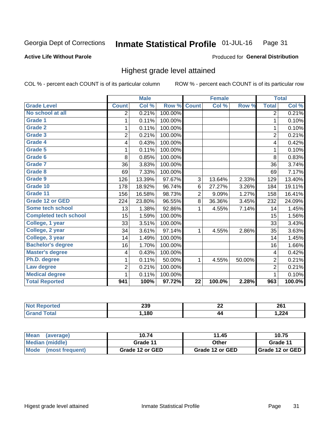#### Inmate Statistical Profile 01-JUL-16 Page 31

#### **Active Life Without Parole**

### Produced for General Distribution

## Highest grade level attained

COL % - percent each COUNT is of its particular column

|                              |                         | <b>Male</b> |         |                 | <b>Female</b> |        |                         | <b>Total</b> |
|------------------------------|-------------------------|-------------|---------|-----------------|---------------|--------|-------------------------|--------------|
| <b>Grade Level</b>           | <b>Count</b>            | Col %       | Row %   | <b>Count</b>    | Col %         | Row %  | <b>Total</b>            | Col %        |
| No school at all             | 2                       | 0.21%       | 100.00% |                 |               |        | 2                       | 0.21%        |
| Grade 1                      | 1                       | 0.11%       | 100.00% |                 |               |        | 1                       | 0.10%        |
| <b>Grade 2</b>               | 1                       | 0.11%       | 100.00% |                 |               |        | 1                       | 0.10%        |
| Grade 3                      | $\overline{2}$          | 0.21%       | 100.00% |                 |               |        | $\overline{2}$          | 0.21%        |
| Grade 4                      | 4                       | 0.43%       | 100.00% |                 |               |        | 4                       | 0.42%        |
| Grade 5                      | 1                       | 0.11%       | 100.00% |                 |               |        | 1                       | 0.10%        |
| Grade 6                      | 8                       | 0.85%       | 100.00% |                 |               |        | 8                       | 0.83%        |
| Grade 7                      | 36                      | 3.83%       | 100.00% |                 |               |        | 36                      | 3.74%        |
| Grade 8                      | 69                      | 7.33%       | 100.00% |                 |               |        | 69                      | 7.17%        |
| Grade 9                      | 126                     | 13.39%      | 97.67%  | 3               | 13.64%        | 2.33%  | 129                     | 13.40%       |
| Grade 10                     | 178                     | 18.92%      | 96.74%  | 6               | 27.27%        | 3.26%  | 184                     | 19.11%       |
| Grade 11                     | 156                     | 16.58%      | 98.73%  | $\overline{2}$  | 9.09%         | 1.27%  | 158                     | 16.41%       |
| <b>Grade 12 or GED</b>       | 224                     | 23.80%      | 96.55%  | 8               | 36.36%        | 3.45%  | 232                     | 24.09%       |
| Some tech school             | 13                      | 1.38%       | 92.86%  | 1               | 4.55%         | 7.14%  | 14                      | 1.45%        |
| <b>Completed tech school</b> | 15                      | 1.59%       | 100.00% |                 |               |        | 15                      | 1.56%        |
| College, 1 year              | 33                      | 3.51%       | 100.00% |                 |               |        | 33                      | 3.43%        |
| College, 2 year              | 34                      | 3.61%       | 97.14%  | 1               | 4.55%         | 2.86%  | 35                      | 3.63%        |
| College, 3 year              | 14                      | 1.49%       | 100.00% |                 |               |        | 14                      | 1.45%        |
| <b>Bachelor's degree</b>     | 16                      | 1.70%       | 100.00% |                 |               |        | 16                      | 1.66%        |
| <b>Master's degree</b>       | $\overline{\mathbf{4}}$ | 0.43%       | 100.00% |                 |               |        | $\overline{\mathbf{4}}$ | 0.42%        |
| Ph.D. degree                 | 1                       | 0.11%       | 50.00%  | 1               | 4.55%         | 50.00% | $\overline{2}$          | 0.21%        |
| Law degree                   | $\overline{2}$          | 0.21%       | 100.00% |                 |               |        | $\overline{2}$          | 0.21%        |
| <b>Medical degree</b>        | 1                       | 0.11%       | 100.00% |                 |               |        | 1                       | 0.10%        |
| <b>Total Reported</b>        | 941                     | 100%        | 97.72%  | $\overline{22}$ | 100.0%        | 2.28%  | 963                     | 100.0%       |

| ттео. | 239 | ne.<br>▵▴ | 961<br>ZU I |
|-------|-----|-----------|-------------|
|       | 180 | 44        | 1,224       |

| <b>Mean</b><br>(average) | 10.74           | 11.45           | 10.75             |
|--------------------------|-----------------|-----------------|-------------------|
| Median (middle)          | Grade 11        | Other           | Grade 11          |
| Mode<br>(most frequent)  | Grade 12 or GED | Grade 12 or GED | I Grade 12 or GED |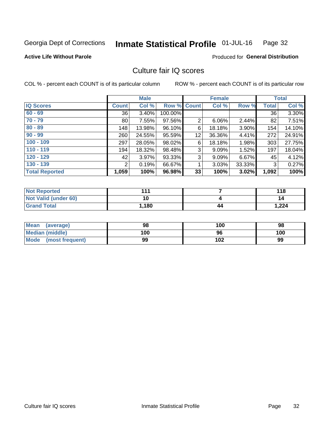#### Inmate Statistical Profile 01-JUL-16 Page 32

### **Active Life Without Parole**

### Produced for General Distribution

## Culture fair IQ scores

COL % - percent each COUNT is of its particular column

|                       |                | <b>Male</b> |             |                | <b>Female</b> |        |              | <b>Total</b> |
|-----------------------|----------------|-------------|-------------|----------------|---------------|--------|--------------|--------------|
| <b>IQ Scores</b>      | <b>Count</b>   | Col %       | Row % Count |                | Col %         | Row %  | <b>Total</b> | Col %        |
| $60 - 69$             | 36             | 3.40%       | 100.00%     |                |               |        | 36           | 3.30%        |
| $70 - 79$             | 80             | 7.55%       | 97.56%      | $\overline{2}$ | 6.06%         | 2.44%  | 82           | 7.51%        |
| $80 - 89$             | 148            | 13.98%      | 96.10%      | 6              | 18.18%        | 3.90%  | 154          | 14.10%       |
| $90 - 99$             | 260            | 24.55%      | 95.59%      | 12             | 36.36%        | 4.41%  | 272          | 24.91%       |
| $100 - 109$           | 297            | 28.05%      | 98.02%      | 6              | 18.18%        | 1.98%  | 303          | 27.75%       |
| $110 - 119$           | 194            | 18.32%      | 98.48%      | 3              | 9.09%         | 1.52%  | 197          | 18.04%       |
| $120 - 129$           | 42             | 3.97%       | 93.33%      | 3              | 9.09%         | 6.67%  | 45           | 4.12%        |
| $130 - 139$           | $\overline{2}$ | 0.19%       | 66.67%      | 4              | 3.03%         | 33.33% | 3            | 0.27%        |
| <b>Total Reported</b> | 1,059          | 100%        | 96.98%      | 33             | 100%          | 3.02%  | 1,092        | 100%         |

| <b>Not Reported</b>  | 444   |    | 118   |
|----------------------|-------|----|-------|
| Not Valid (under 60) | 10    |    | 14    |
| <b>Grand Total</b>   | 1,180 | 44 | 1,224 |

| Mean<br>(average)      | 98  | 100 | 98  |
|------------------------|-----|-----|-----|
| <b>Median (middle)</b> | 100 | 96  | 100 |
| Mode (most frequent)   | 99  | 102 | 99  |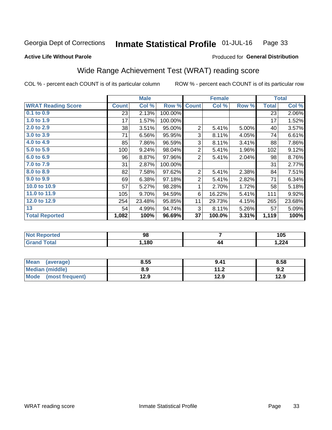#### Inmate Statistical Profile 01-JUL-16 Page 33

**Active Life Without Parole** 

### Produced for General Distribution

## Wide Range Achievement Test (WRAT) reading score

COL % - percent each COUNT is of its particular column

|                           |              | <b>Male</b> |         |                | <b>Female</b> |       |              | <b>Total</b> |
|---------------------------|--------------|-------------|---------|----------------|---------------|-------|--------------|--------------|
| <b>WRAT Reading Score</b> | <b>Count</b> | Col %       | Row %   | <b>Count</b>   | Col %         | Row % | <b>Total</b> | Col %        |
| $0.1$ to $0.9$            | 23           | 2.13%       | 100.00% |                |               |       | 23           | 2.06%        |
| 1.0 to 1.9                | 17           | 1.57%       | 100.00% |                |               |       | 17           | 1.52%        |
| 2.0 to 2.9                | 38           | 3.51%       | 95.00%  | 2              | 5.41%         | 5.00% | 40           | 3.57%        |
| 3.0 to 3.9                | 71           | 6.56%       | 95.95%  | 3              | 8.11%         | 4.05% | 74           | 6.61%        |
| 4.0 to 4.9                | 85           | 7.86%       | 96.59%  | 3              | 8.11%         | 3.41% | 88           | 7.86%        |
| 5.0 to 5.9                | 100          | 9.24%       | 98.04%  | $\overline{2}$ | 5.41%         | 1.96% | 102          | 9.12%        |
| 6.0 to 6.9                | 96           | 8.87%       | 97.96%  | $\overline{2}$ | 5.41%         | 2.04% | 98           | 8.76%        |
| 7.0 to 7.9                | 31           | 2.87%       | 100.00% |                |               |       | 31           | 2.77%        |
| 8.0 to 8.9                | 82           | 7.58%       | 97.62%  | $\overline{2}$ | 5.41%         | 2.38% | 84           | 7.51%        |
| 9.0 to 9.9                | 69           | 6.38%       | 97.18%  | $\overline{2}$ | 5.41%         | 2.82% | 71           | 6.34%        |
| 10.0 to 10.9              | 57           | 5.27%       | 98.28%  | 1              | 2.70%         | 1.72% | 58           | 5.18%        |
| 11.0 to 11.9              | 105          | 9.70%       | 94.59%  | 6              | 16.22%        | 5.41% | 111          | 9.92%        |
| 12.0 to 12.9              | 254          | 23.48%      | 95.85%  | 11             | 29.73%        | 4.15% | 265          | 23.68%       |
| 13                        | 54           | 4.99%       | 94.74%  | 3              | 8.11%         | 5.26% | 57           | 5.09%        |
| <b>Total Reported</b>     | 1,082        | 100%        | 96.69%  | 37             | 100.0%        | 3.31% | 1,119        | 100%         |

| <b>Not Reported</b> | 98   |    | 105   |
|---------------------|------|----|-------|
| <b>Grand Total</b>  | ,180 | 44 | 1,224 |

| <b>Mean</b><br>(average) | 8.55 | 9.41                            | 8.58 |
|--------------------------|------|---------------------------------|------|
| <b>Median (middle)</b>   | 8.9  | 11 <sub>2</sub><br>$\mathbf{L}$ | 9.2  |
| Mode (most frequent)     | 12.9 | 12.9                            | 12.9 |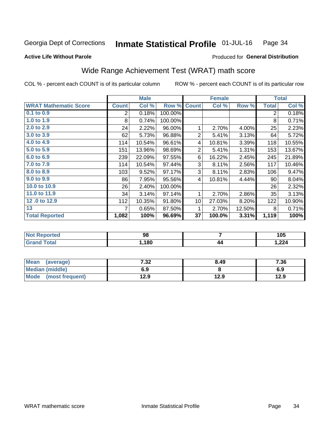#### Inmate Statistical Profile 01-JUL-16 Page 34

#### **Active Life Without Parole**

### Produced for General Distribution

## Wide Range Achievement Test (WRAT) math score

COL % - percent each COUNT is of its particular column

|                              |                | <b>Male</b> |         |                | <b>Female</b> |        |                | <b>Total</b> |
|------------------------------|----------------|-------------|---------|----------------|---------------|--------|----------------|--------------|
| <b>WRAT Mathematic Score</b> | <b>Count</b>   | Col %       | Row %   | <b>Count</b>   | Col %         | Row %  | <b>Total</b>   | Col %        |
| 0.1 to 0.9                   | $\overline{2}$ | 0.18%       | 100.00% |                |               |        | $\overline{2}$ | 0.18%        |
| 1.0 to 1.9                   | 8              | 0.74%       | 100.00% |                |               |        | 8              | 0.71%        |
| 2.0 to 2.9                   | 24             | 2.22%       | 96.00%  | 1              | 2.70%         | 4.00%  | 25             | 2.23%        |
| 3.0 to 3.9                   | 62             | 5.73%       | 96.88%  | $\overline{2}$ | 5.41%         | 3.13%  | 64             | 5.72%        |
| 4.0 to 4.9                   | 114            | 10.54%      | 96.61%  | 4              | 10.81%        | 3.39%  | 118            | 10.55%       |
| 5.0 to 5.9                   | 151            | 13.96%      | 98.69%  | 2              | 5.41%         | 1.31%  | 153            | 13.67%       |
| 6.0 to 6.9                   | 239            | 22.09%      | 97.55%  | 6              | 16.22%        | 2.45%  | 245            | 21.89%       |
| 7.0 to 7.9                   | 114            | 10.54%      | 97.44%  | 3              | 8.11%         | 2.56%  | 117            | 10.46%       |
| 8.0 to 8.9                   | 103            | 9.52%       | 97.17%  | 3              | 8.11%         | 2.83%  | 106            | 9.47%        |
| 9.0 to 9.9                   | 86             | 7.95%       | 95.56%  | 4              | 10.81%        | 4.44%  | 90             | 8.04%        |
| 10.0 to 10.9                 | 26             | 2.40%       | 100.00% |                |               |        | 26             | 2.32%        |
| 11.0 to 11.9                 | 34             | 3.14%       | 97.14%  | 1              | 2.70%         | 2.86%  | 35             | 3.13%        |
| 12.0 to 12.9                 | 112            | 10.35%      | 91.80%  | 10             | 27.03%        | 8.20%  | 122            | 10.90%       |
| 13                           | 7              | 0.65%       | 87.50%  | 1              | 2.70%         | 12.50% | 8              | 0.71%        |
| <b>Total Reported</b>        | 1,082          | 100%        | 96.69%  | 37             | 100.0%        | 3.31%  | 1,119          | 100%         |

| <b>Not</b><br>: Reported | 98  |    | 105   |
|--------------------------|-----|----|-------|
| <b>Total</b>             | 180 | 44 | 1,224 |

| Mean<br>(average)      | 7.32 | 8.49 | 7.36 |
|------------------------|------|------|------|
| <b>Median (middle)</b> | 6.9  |      | 6.9  |
| Mode (most frequent)   | 12.9 | 12.9 | 12.9 |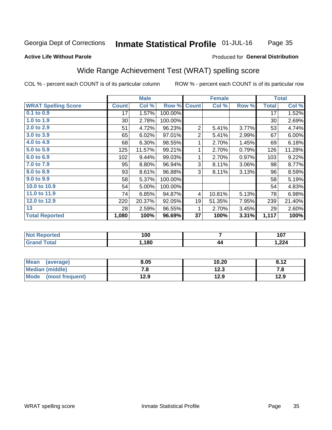#### **Inmate Statistical Profile 01-JUL-16** Page 35

#### **Active Life Without Parole**

### Produced for General Distribution

## Wide Range Achievement Test (WRAT) spelling score

COL % - percent each COUNT is of its particular column

|                            |              | <b>Male</b> |         |                | <b>Female</b> |          |              | <b>Total</b> |
|----------------------------|--------------|-------------|---------|----------------|---------------|----------|--------------|--------------|
| <b>WRAT Spelling Score</b> | <b>Count</b> | Col %       | Row %   | <b>Count</b>   | Col %         | Row %    | <b>Total</b> | Col %        |
| $0.1$ to $0.9$             | 17           | 1.57%       | 100.00% |                |               |          | 17           | 1.52%        |
| 1.0 to 1.9                 | $30$         | 2.78%       | 100.00% |                |               |          | 30           | 2.69%        |
| 2.0 to 2.9                 | 51           | 4.72%       | 96.23%  | 2              | 5.41%         | 3.77%    | 53           | 4.74%        |
| 3.0 to 3.9                 | 65           | 6.02%       | 97.01%  | $\overline{2}$ | 5.41%         | 2.99%    | 67           | 6.00%        |
| 4.0 to 4.9                 | 68           | 6.30%       | 98.55%  | 1              | 2.70%         | 1.45%    | 69           | 6.18%        |
| 5.0 to 5.9                 | 125          | 11.57%      | 99.21%  | 1              | 2.70%         | 0.79%    | 126          | 11.28%       |
| 6.0 to 6.9                 | 102          | 9.44%       | 99.03%  | 1              | 2.70%         | 0.97%    | 103          | 9.22%        |
| 7.0 to 7.9                 | 95           | 8.80%       | 96.94%  | 3              | 8.11%         | $3.06\%$ | 98           | 8.77%        |
| 8.0 to 8.9                 | 93           | 8.61%       | 96.88%  | 3              | 8.11%         | 3.13%    | 96           | 8.59%        |
| 9.0 to 9.9                 | 58           | 5.37%       | 100.00% |                |               |          | 58           | 5.19%        |
| 10.0 to 10.9               | 54           | 5.00%       | 100.00% |                |               |          | 54           | 4.83%        |
| 11.0 to 11.9               | 74           | 6.85%       | 94.87%  | 4              | 10.81%        | 5.13%    | 78           | 6.98%        |
| 12.0 to 12.9               | 220          | 20.37%      | 92.05%  | 19             | 51.35%        | 7.95%    | 239          | 21.40%       |
| 13                         | 28           | 2.59%       | 96.55%  | 1              | 2.70%         | 3.45%    | 29           | 2.60%        |
| <b>Total Reported</b>      | 1,080        | 100%        | 96.69%  | 37             | 100%          | 3.31%    | 1,117        | 100%         |

| <b>Not</b><br>Reported | 100 |    | 107   |
|------------------------|-----|----|-------|
| <b>Total</b>           | 180 | 44 | 1,224 |

| Mean (average)       | 8.05 | 10.20 | 8.12 |
|----------------------|------|-------|------|
| Median (middle)      | 0. ، | 12.3  |      |
| Mode (most frequent) | 12.9 | 12.9  | 12.9 |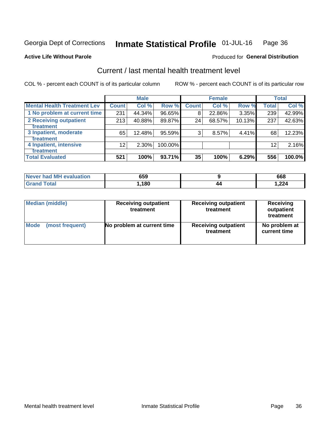#### Inmate Statistical Profile 01-JUL-16 Page 36

#### **Active Life Without Parole**

### **Produced for General Distribution**

## Current / last mental health treatment level

COL % - percent each COUNT is of its particular column

|                                    |                 | <b>Male</b> |         |                    | <b>Female</b> |        |                 | <b>Total</b> |
|------------------------------------|-----------------|-------------|---------|--------------------|---------------|--------|-----------------|--------------|
| <b>Mental Health Treatment Lev</b> | <b>Count</b>    | Col %       | Row %   | Count <sup>1</sup> | Col%          | Row %  | <b>Total</b>    | Col %        |
| 1 No problem at current time       | 231             | 44.34%      | 96.65%  | 8                  | 22.86%        | 3.35%  | 239             | 42.99%       |
| 2 Receiving outpatient             | 213             | 40.88%      | 89.87%  | 24                 | 68.57%        | 10.13% | 237             | 42.63%       |
| <b>Treatment</b>                   |                 |             |         |                    |               |        |                 |              |
| 3 Inpatient, moderate              | 65              | 12.48%      | 95.59%  | 3                  | 8.57%         | 4.41%  | 68              | 12.23%       |
| <b>Treatment</b>                   |                 |             |         |                    |               |        |                 |              |
| 4 Inpatient, intensive             | 12 <sub>2</sub> | $2.30\%$    | 100.00% |                    |               |        | 12 <sub>1</sub> | 2.16%        |
| <b>Treatment</b>                   |                 |             |         |                    |               |        |                 |              |
| <b>Total Evaluated</b>             | 521             | 100%        | 93.71%  | 35                 | 100%          | 6.29%  | 556             | 100.0%       |

| Never had MH evaluation | 659   |    | 668    |
|-------------------------|-------|----|--------|
| <b>Total</b><br>'Grand  | .180، | 44 | 224. ا |

| <b>Median (middle)</b> | <b>Receiving outpatient</b><br>treatment | <b>Receiving outpatient</b><br>treatment | <b>Receiving</b><br>outpatient<br>treatment |  |
|------------------------|------------------------------------------|------------------------------------------|---------------------------------------------|--|
| <b>Mode</b>            | No problem at current time               | <b>Receiving outpatient</b>              | No problem at                               |  |
| (most frequent)        |                                          | treatment                                | current time                                |  |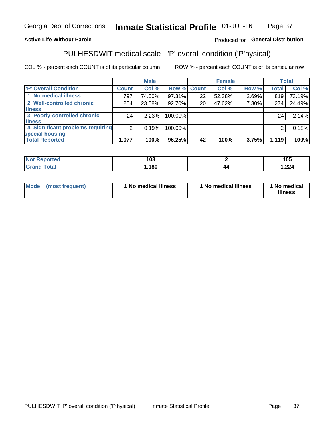#### Inmate Statistical Profile 01-JUL-16 Page 37

### **Active Life Without Parole**

### Produced for General Distribution

## PULHESDWIT medical scale - 'P' overall condition ('P'hysical)

COL % - percent each COUNT is of its particular column

|                                  |                | <b>Male</b> |             |    | <b>Female</b> |       |              | <b>Total</b> |
|----------------------------------|----------------|-------------|-------------|----|---------------|-------|--------------|--------------|
| 'P' Overall Condition            | <b>Count</b>   | Col %       | Row % Count |    | Col %         | Row % | <b>Total</b> | Col %        |
| 1 No medical illness             | 797            | 74.00%      | 97.31%      | 22 | 52.38%        | 2.69% | 819          | 73.19%       |
| 2 Well-controlled chronic        | 254            | 23.58%      | 92.70%      | 20 | 47.62%        | 7.30% | 274          | 24.49%       |
| <b>illness</b>                   |                |             |             |    |               |       |              |              |
| 3 Poorly-controlled chronic      | 24             | 2.23%       | 100.00%     |    |               |       | 24           | 2.14%        |
| <b>illness</b>                   |                |             |             |    |               |       |              |              |
| 4 Significant problems requiring | 2 <sub>1</sub> | 0.19%       | 100.00%     |    |               |       | 2            | 0.18%        |
| special housing                  |                |             |             |    |               |       |              |              |
| <b>Total Reported</b>            | 1,077          | 100%        | 96.25%      | 42 | 100%          | 3.75% | 1,119        | 100%         |

| ,<br>. |        | 1 N F<br>טעו |
|--------|--------|--------------|
| 180    | д,     | $\sim$       |
| .u     | $\sim$ |              |

| <b>Mode</b> | (most frequent) | 1 No medical illness | 1 No medical illness | 1 No medical<br>illness |
|-------------|-----------------|----------------------|----------------------|-------------------------|
|-------------|-----------------|----------------------|----------------------|-------------------------|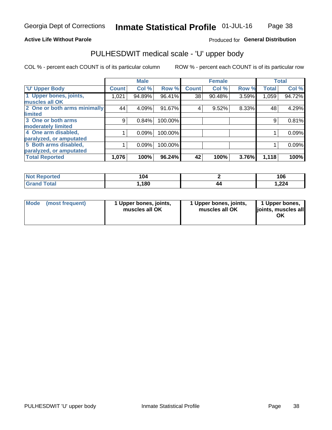### **Active Life Without Parole**

### Produced for General Distribution

## PULHESDWIT medical scale - 'U' upper body

COL % - percent each COUNT is of its particular column

|                              |              | <b>Male</b> |         |              | <b>Female</b> |       |              | <b>Total</b> |
|------------------------------|--------------|-------------|---------|--------------|---------------|-------|--------------|--------------|
| <b>'U' Upper Body</b>        | <b>Count</b> | Col %       | Row %   | <b>Count</b> | Col %         | Row % | <b>Total</b> | Col %        |
| 1 Upper bones, joints,       | 1,021        | 94.89%      | 96.41%  | 38           | 90.48%        | 3.59% | 1,059        | 94.72%       |
| muscles all OK               |              |             |         |              |               |       |              |              |
| 2 One or both arms minimally | 44           | 4.09%       | 91.67%  | 4            | 9.52%         | 8.33% | 48           | 4.29%        |
| limited                      |              |             |         |              |               |       |              |              |
| 3 One or both arms           | 9            | 0.84%       | 100.00% |              |               |       | 9            | 0.81%        |
| moderately limited           |              |             |         |              |               |       |              |              |
| 4 One arm disabled,          |              | 0.09%       | 100.00% |              |               |       |              | 0.09%        |
| paralyzed, or amputated      |              |             |         |              |               |       |              |              |
| 5 Both arms disabled,        |              | 0.09%       | 100.00% |              |               |       |              | 0.09%        |
| paralyzed, or amputated      |              |             |         |              |               |       |              |              |
| <b>Total Reported</b>        | 1,076        | 100%        | 96.24%  | 42           | 100%          | 3.76% | 1,118        | 100%         |

| <b>Not Reported</b> | 104  |    | 106   |
|---------------------|------|----|-------|
| <b>Grand Total</b>  | ,180 | 44 | 1,224 |

| Mode (most frequent) | 1 Upper bones, joints,<br>muscles all OK | 1 Upper bones, joints,<br>muscles all OK | 1 Upper bones,<br>joints, muscles all<br>ΟK |
|----------------------|------------------------------------------|------------------------------------------|---------------------------------------------|
|----------------------|------------------------------------------|------------------------------------------|---------------------------------------------|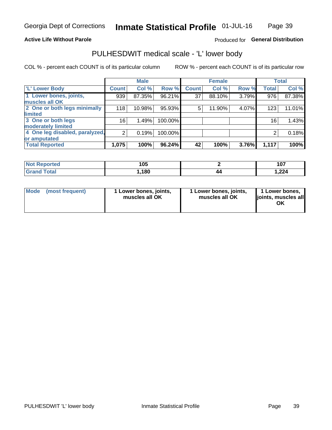### **Active Life Without Parole**

### Produced for General Distribution

## PULHESDWIT medical scale - 'L' lower body

COL % - percent each COUNT is of its particular column

|                                |                 | <b>Male</b> |         |              | <b>Female</b> |       |                 | <b>Total</b> |
|--------------------------------|-----------------|-------------|---------|--------------|---------------|-------|-----------------|--------------|
| 'L' Lower Body                 | <b>Count</b>    | Col %       | Row %   | <b>Count</b> | Col %         | Row % | <b>Total</b>    | Col %        |
| 1 Lower bones, joints,         | 939             | 87.35%      | 96.21%  | 37           | 88.10%        | 3.79% | 976             | 87.38%       |
| muscles all OK                 |                 |             |         |              |               |       |                 |              |
| 2 One or both legs minimally   | 118             | 10.98%      | 95.93%  | 5            | 11.90%        | 4.07% | 123             | 11.01%       |
| limited                        |                 |             |         |              |               |       |                 |              |
| 3 One or both legs             | 16 <sub>1</sub> | 1.49%       | 100.00% |              |               |       | 16 <sub>1</sub> | 1.43%        |
| moderately limited             |                 |             |         |              |               |       |                 |              |
| 4 One leg disabled, paralyzed, | $\overline{2}$  | 0.19%       | 100.00% |              |               |       | 2               | 0.18%        |
| or amputated                   |                 |             |         |              |               |       |                 |              |
| <b>Total Reported</b>          | 1,075           | 100%        | 96.24%  | 42           | 100%          | 3.76% | 1,117           | 100%         |

| <b>Not Reported</b> | 1 N E<br>טע. |    | 107<br>ושו |
|---------------------|--------------|----|------------|
| <b>Total</b>        | ,180         | 44 | 224. ا     |

| Mode | (most frequent) | 1 Lower bones, joints,<br>muscles all OK | 1 Lower bones, joints,<br>muscles all OK | 1 Lower bones,<br>ljoints, muscles all<br>ΟK |
|------|-----------------|------------------------------------------|------------------------------------------|----------------------------------------------|
|------|-----------------|------------------------------------------|------------------------------------------|----------------------------------------------|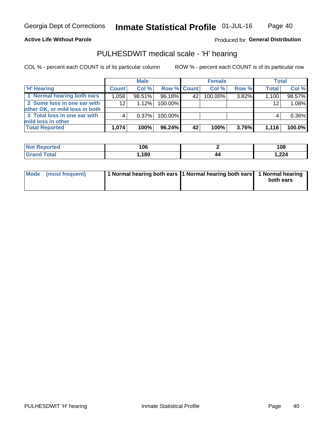### **Active Life Without Parole**

### Produced for General Distribution

## PULHESDWIT medical scale - 'H' hearing

COL % - percent each COUNT is of its particular column

|                                                               |              | <b>Male</b> |             |    | <b>Female</b> |          | <b>Total</b>    |        |
|---------------------------------------------------------------|--------------|-------------|-------------|----|---------------|----------|-----------------|--------|
| <b>H' Hearing</b>                                             | <b>Count</b> | Col %       | Row % Count |    | Col %         | Row %    | <b>Total</b>    | Col %  |
| 1 Normal hearing both ears                                    | 1,058        | 98.51%      | 96.18%      | 42 | 100.00%       | 3.82%    | 1,100           | 98.57% |
| 2 Some loss in one ear with<br>other OK, or mild loss in both | 12           | 1.12%       | 100.00%     |    |               |          | 12 <sub>1</sub> | 1.08%  |
| 3 Total loss in one ear with                                  | 4            | 0.37%       | 100.00%     |    |               |          | 4               | 0.36%  |
| mild loss in other<br><b>Total Reported</b>                   | 1,074        | 100%        | 96.24%      | 42 | 100%          | $3.76\%$ | 1,116           | 100.0% |

| ∖rted<br>NO1 | 106  |    | 108          |
|--------------|------|----|--------------|
| $\sim$       | ,180 | 40 | 224<br>1.ZZ4 |

| Mode (most frequent) | 1 Normal hearing both ears 1 Normal hearing both ears 1 Normal hearing |  | both ears |
|----------------------|------------------------------------------------------------------------|--|-----------|
|----------------------|------------------------------------------------------------------------|--|-----------|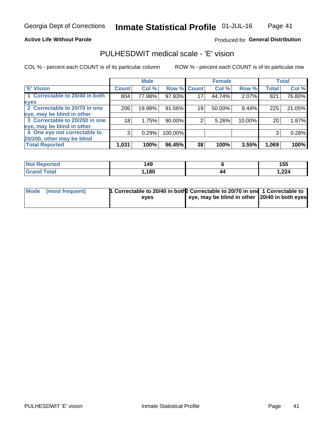**Active Life Without Parole** 

### Produced for General Distribution

## PULHESDWIT medical scale - 'E' vision

COL % - percent each COUNT is of its particular column

|                                |              | <b>Male</b> |             |    | <b>Female</b> |          |              | <b>Total</b> |
|--------------------------------|--------------|-------------|-------------|----|---------------|----------|--------------|--------------|
| <b>E' Vision</b>               | <b>Count</b> | Col %       | Row % Count |    | Col %         | Row %    | <b>Total</b> | Col %        |
| 1 Correctable to 20/40 in both | 804          | 77.98%      | 97.93%      | 17 | 44.74%        | 2.07%    | 821          | 76.80%       |
| eyes                           |              |             |             |    |               |          |              |              |
| 2 Correctable to 20/70 in one  | 206          | 19.98%      | 91.56%      | 19 | 50.00%        | $8.44\%$ | 225          | 21.05%       |
| eye, may be blind in other     |              |             |             |    |               |          |              |              |
| 3 Correctable to 20/200 in one | 18           | 1.75%       | $90.00\%$   |    | 5.26%         | 10.00%   | 20           | 1.87%        |
| eye, may be blind in other     |              |             |             |    |               |          |              |              |
| 4 One eye not correctable to   | 3            | 0.29%       | 100.00%     |    |               |          | 3            | 0.28%        |
| 20/200, other may be blind     |              |             |             |    |               |          |              |              |
| <b>Total Reported</b>          | 1,031        | 100%        | 96.45%      | 38 | 100%          | 3.55%    | 1,069        | 100%         |

| <b>Not Reported</b>   | 149  |    | 155    |
|-----------------------|------|----|--------|
| <b>Total</b><br>Grand | ,180 | 44 | 224. ا |

| Mode (most frequent) | 1 Correctable to 20/40 in both 2 Correctable to 20/70 in one 1 Correctable to<br>eves | eye, may be blind in other 20/40 in both eyes |  |
|----------------------|---------------------------------------------------------------------------------------|-----------------------------------------------|--|
|                      |                                                                                       |                                               |  |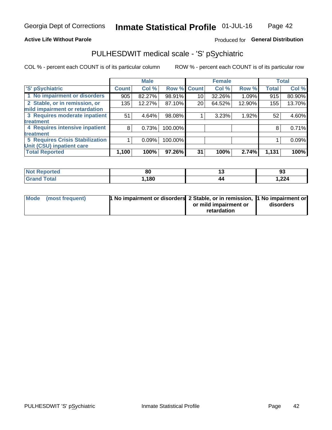### **Active Life Without Parole**

### Produced for General Distribution

## PULHESDWIT medical scale - 'S' pSychiatric

COL % - percent each COUNT is of its particular column

|                                        |              | <b>Male</b> |         |             | <b>Female</b> |        |              | <b>Total</b> |
|----------------------------------------|--------------|-------------|---------|-------------|---------------|--------|--------------|--------------|
| 'S' pSychiatric                        | <b>Count</b> | Col %       |         | Row % Count | Col %         | Row %  | <b>Total</b> | Col %        |
| 1 No impairment or disorders           | 905          | 82.27%      | 98.91%  | 10          | 32.26%        | 1.09%  | 915          | 80.90%       |
| 2 Stable, or in remission, or          | 135          | 12.27%      | 87.10%  | 20          | 64.52%        | 12.90% | 155          | 13.70%       |
| mild impairment or retardation         |              |             |         |             |               |        |              |              |
| 3 Requires moderate inpatient          | 51           | 4.64%       | 98.08%  |             | 3.23%         | 1.92%  | 52           | 4.60%        |
| treatment                              |              |             |         |             |               |        |              |              |
| 4 Requires intensive inpatient         | 8            | 0.73%       | 100.00% |             |               |        | 8            | 0.71%        |
| treatment                              |              |             |         |             |               |        |              |              |
| <b>5 Requires Crisis Stabilization</b> |              | 0.09%       | 100.00% |             |               |        |              | 0.09%        |
| Unit (CSU) inpatient care              |              |             |         |             |               |        |              |              |
| <b>Total Reported</b>                  | 1,100        | 100%        | 97.26%  | 31          | 100%          | 2.74%  | 1,131        | 100%         |

| <b>Reported</b><br><b>Not</b> | . .<br>ou | יי | 93    |
|-------------------------------|-----------|----|-------|
| <b>Total</b>                  | ,180      | 44 | 1,224 |

| Mode (most frequent) | <b>1 No impairment or disorders 2 Stable, or in remission, 1 No impairment or</b> |                       |           |
|----------------------|-----------------------------------------------------------------------------------|-----------------------|-----------|
|                      |                                                                                   | or mild impairment or | disorders |
|                      |                                                                                   | retardation           |           |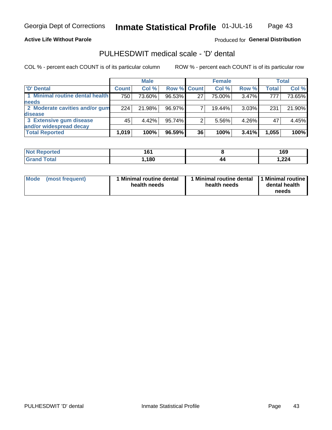### **Active Life Without Parole**

### Produced for General Distribution

## PULHESDWIT medical scale - 'D' dental

COL % - percent each COUNT is of its particular column

|                                 |              | <b>Male</b> |                    |    | <b>Female</b> |       |              | Total  |
|---------------------------------|--------------|-------------|--------------------|----|---------------|-------|--------------|--------|
| 'D' Dental                      | <b>Count</b> | Col %       | <b>Row % Count</b> |    | Col %         | Row % | <b>Total</b> | Col %  |
| 1 Minimal routine dental health | 750          | 73.60%      | 96.53%             | 27 | 75.00%        | 3.47% | 777          | 73.65% |
| <b>needs</b>                    |              |             |                    |    |               |       |              |        |
| 2 Moderate cavities and/or gum  | 224          | 21.98%      | 96.97%             |    | 19.44%        | 3.03% | 231          | 21.90% |
| disease                         |              |             |                    |    |               |       |              |        |
| 3 Extensive gum disease         | 45           | 4.42%       | 95.74%             |    | 5.56%         | 4.26% | 47           | 4.45%  |
| and/or widespread decay         |              |             |                    |    |               |       |              |        |
| <b>Total Reported</b>           | 1,019        | 100%        | 96.59%             | 36 | 100%          | 3.41% | 1,055        | 100%   |

| prτea<br>NOT R<br> | 161<br>טו |    | 169   |
|--------------------|-----------|----|-------|
| Гоtal              | 180       | 44 | 1,224 |

| <b>Mode</b>     | Minimal routine dental | 1 Minimal routine dental 1 Minimal routine | dental health |
|-----------------|------------------------|--------------------------------------------|---------------|
| (most frequent) | health needs           | health needs                               | needs         |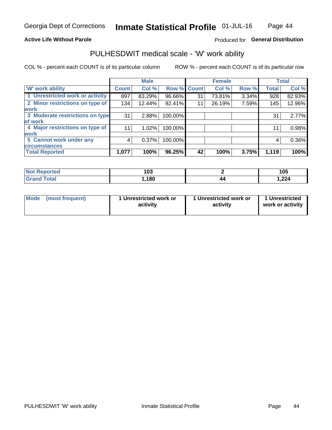### **Active Life Without Parole**

### Produced for General Distribution

### PULHESDWIT medical scale - 'W' work ability

COL % - percent each COUNT is of its particular column

|                                 |              | <b>Male</b> |         |             | <b>Female</b> |       |              | <b>Total</b> |
|---------------------------------|--------------|-------------|---------|-------------|---------------|-------|--------------|--------------|
| <b>W' work ability</b>          | <b>Count</b> | Col %       |         | Row % Count | Col %         | Row % | <b>Total</b> | Col %        |
| 1 Unrestricted work or activity | 897          | 83.29%      | 96.66%  | 31          | 73.81%        | 3.34% | 928          | 82.93%       |
| 2 Minor restrictions on type of | 134          | 12.44%      | 92.41%  | 11          | 26.19%        | 7.59% | 145          | 12.96%       |
| <b>work</b>                     |              |             |         |             |               |       |              |              |
| 3 Moderate restrictions on type | 31           | 2.88%       | 100.00% |             |               |       | 31           | 2.77%        |
| lof work                        |              |             |         |             |               |       |              |              |
| 4 Major restrictions on type of | 11           | $1.02\%$    | 100.00% |             |               |       | 11           | 0.98%        |
| <b>work</b>                     |              |             |         |             |               |       |              |              |
| 5 Cannot work under any         | 4            | 0.37%       | 100.00% |             |               |       | 4            | 0.36%        |
| <b>circumstances</b>            |              |             |         |             |               |       |              |              |
| <b>Total Reported</b>           | 1,077        | 100%        | 96.25%  | 42          | 100%          | 3.75% | 1,119        | 100%         |

| <b>Not Reported</b>   | י ה<br>טעו |    | 105   |
|-----------------------|------------|----|-------|
| <b>Total</b><br>Grand | ,180       | 44 | 1,224 |

| Mode            | 1 Unrestricted work or | 1 Unrestricted work or | 1 Unrestricted   |
|-----------------|------------------------|------------------------|------------------|
| (most frequent) | activity               | activity               | work or activity |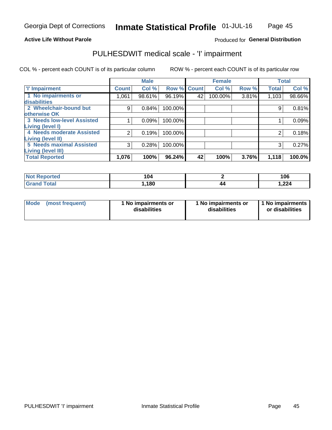#### **Active Life Without Parole**

### Produced for General Distribution

## PULHESDWIT medical scale - 'I' impairment

COL % - percent each COUNT is of its particular column ROW % - percent each COUNT is of its particular row

|                                   |              | <b>Male</b> |             |    | <b>Female</b> |       |              | <b>Total</b> |
|-----------------------------------|--------------|-------------|-------------|----|---------------|-------|--------------|--------------|
| <b>T' Impairment</b>              | <b>Count</b> | Col %       | Row % Count |    | Col %         | Row % | <b>Total</b> | Col %        |
| 1 No impairments or               | 1,061        | 98.61%      | 96.19%      | 42 | 100.00%       | 3.81% | 1,103        | 98.66%       |
| disabilities                      |              |             |             |    |               |       |              |              |
| 2 Wheelchair-bound but            | 9            | 0.84%       | 100.00%     |    |               |       | 9            | 0.81%        |
| otherwise OK                      |              |             |             |    |               |       |              |              |
| <b>3 Needs low-level Assisted</b> |              | 0.09%       | 100.00%     |    |               |       |              | 0.09%        |
| Living (level I)                  |              |             |             |    |               |       |              |              |
| 4 Needs moderate Assisted         | 2            | 0.19%       | 100.00%     |    |               |       |              | 0.18%        |
| <b>Living (level II)</b>          |              |             |             |    |               |       |              |              |
| <b>5 Needs maximal Assisted</b>   | 3            | 0.28%       | 100.00%     |    |               |       | 3            | 0.27%        |
| Living (level III)                |              |             |             |    |               |       |              |              |
| <b>Total Reported</b>             | 1,076        | 100%        | 96.24%      | 42 | 100%          | 3.76% | 1,118        | 100.0%       |

| Reported     | 104  | 106   |
|--------------|------|-------|
| <b>Total</b> | ,180 | 1,224 |

| Mode | (most frequent) | 1 No impairments or<br>disabilities | 1 No impairments or<br>disabilities | 1 No impairments<br>or disabilities |
|------|-----------------|-------------------------------------|-------------------------------------|-------------------------------------|
|------|-----------------|-------------------------------------|-------------------------------------|-------------------------------------|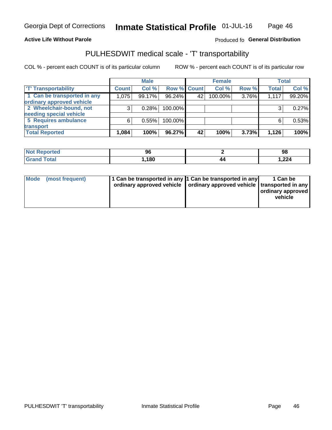### **Active Life Without Parole**

### Produced fo General Distribution

## PULHESDWIT medical scale - 'T' transportability

COL % - percent each COUNT is of its particular column

|                             |              | <b>Male</b> |             |    | <b>Female</b> |       |              | <b>Total</b> |
|-----------------------------|--------------|-------------|-------------|----|---------------|-------|--------------|--------------|
| <b>TT</b> Transportability  | <b>Count</b> | Col %       | Row % Count |    | Col %         | Row % | <b>Total</b> | Col %        |
| 1 Can be transported in any | 1,075        | 99.17%      | 96.24%      | 42 | 100.00%       | 3.76% | 1,117        | 99.20%       |
| ordinary approved vehicle   |              |             |             |    |               |       |              |              |
| 2 Wheelchair-bound, not     |              | 0.28%       | 100.00%     |    |               |       |              | 0.27%        |
| needing special vehicle     |              |             |             |    |               |       |              |              |
| 5 Requires ambulance        | ี            | 0.55%       | 100.00%     |    |               |       |              | 0.53%        |
| transport                   |              |             |             |    |               |       |              |              |
| <b>Total Reported</b>       | 1,084        | 100%        | 96.27%      | 42 | 100%          | 3.73% | 1,126        | 100%         |

| <b>NI</b><br>ported | 96   |                     | 98    |
|---------------------|------|---------------------|-------|
|                     | ,180 | 44<br>$\sim$ $\sim$ | 1,224 |

| Mode (most frequent) | 1 Can be transported in any 1 Can be transported in any | ordinary approved vehicle   ordinary approved vehicle   transported in any | 1 Can be<br>ordinary approved<br>vehicle |
|----------------------|---------------------------------------------------------|----------------------------------------------------------------------------|------------------------------------------|
|                      |                                                         |                                                                            |                                          |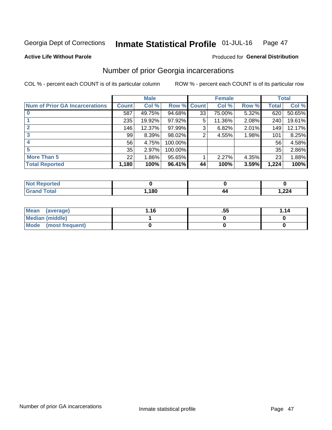#### Inmate Statistical Profile 01-JUL-16 Page 47

**Active Life Without Parole** 

### Produced for General Distribution

## Number of prior Georgia incarcerations

COL % - percent each COUNT is of its particular column

|                                       |              | <b>Male</b> |                    |    | <b>Female</b> |       |       | <b>Total</b> |
|---------------------------------------|--------------|-------------|--------------------|----|---------------|-------|-------|--------------|
| <b>Num of Prior GA Incarcerations</b> | <b>Count</b> | Col %       | <b>Row % Count</b> |    | Col %         | Row % | Total | Col %        |
|                                       | 587          | 49.75%      | 94.68%             | 33 | 75.00%        | 5.32% | 620   | 50.65%       |
|                                       | 235          | 19.92%      | 97.92%             | 5  | 11.36%        | 2.08% | 240   | 19.61%       |
|                                       | 146          | 12.37%      | 97.99%             | 3  | 6.82%         | 2.01% | 149   | 12.17%       |
| 3                                     | 99           | 8.39%       | 98.02%             | 2  | 4.55%         | 1.98% | 101   | 8.25%        |
| 4                                     | 56           | 4.75%       | 100.00%            |    |               |       | 56    | 4.58%        |
| 5                                     | 35           | 2.97%       | 100.00%            |    |               |       | 35    | 2.86%        |
| <b>More Than 5</b>                    | 22           | 1.86%       | 95.65%             |    | 2.27%         | 4.35% | 23    | 1.88%        |
| <b>Total Reported</b>                 | 1,180        | 100%        | 96.41%             | 44 | 100%          | 3.59% | 1,224 | 100%         |

| orted<br>NA                      |        |                    |                 |
|----------------------------------|--------|--------------------|-----------------|
| <b>Total</b><br>$\mathbf{v}$ and | 180، ، | $\boldsymbol{\mu}$ | $\sim$<br>1,444 |

| Mean (average)       | 1.16 | .55 | 1.14 |
|----------------------|------|-----|------|
| Median (middle)      |      |     |      |
| Mode (most frequent) |      |     |      |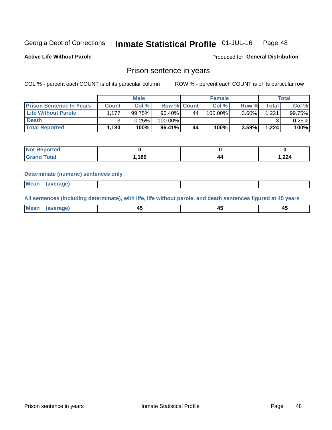#### Inmate Statistical Profile 01-JUL-16 Page 48

**Active Life Without Parole** 

Produced for General Distribution

### Prison sentence in years

COL % - percent each COUNT is of its particular column

ROW % - percent each COUNT is of its particular row

|                                 |              | <b>Male</b> |                    |    | <b>Female</b> |       |              | Total     |
|---------------------------------|--------------|-------------|--------------------|----|---------------|-------|--------------|-----------|
| <b>Prison Sentence In Years</b> | <b>Count</b> | Col %       | <b>Row % Count</b> |    | Col %         | Row % | <b>Total</b> | Col %     |
| <b>Life Without Parole</b>      | 1.177        | 99.75%      | 96.40%             | 44 | $100.00\%$    | 3.60% | 1.221        | $99.75\%$ |
| <b>Death</b>                    |              | 0.25%       | 100.00%            |    |               |       |              | $0.25\%$  |
| <b>Total Reported</b>           | 1,180        | 100%        | 96.41%             | 44 | 100%          | 3.59% | 1.224        | 100%      |

| ported<br><b>NOT</b> |      |     |       |
|----------------------|------|-----|-------|
| <b>Total</b>         | .180 | л л | 1,224 |

#### **Determinate (numeric) sentences only**

| ' Mea<br><b>Service</b> A<br>ЯМА. |  |  |  |
|-----------------------------------|--|--|--|
|                                   |  |  |  |

All sentences (including determinate), with life, life without parole, and death sentences figured at 45 years

| Me: |  |  |  |
|-----|--|--|--|
|     |  |  |  |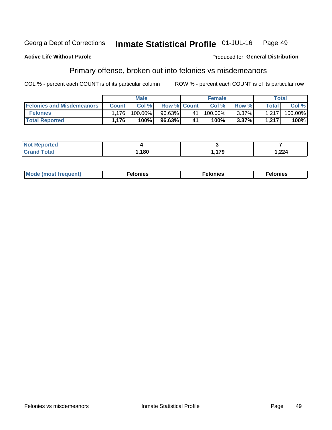#### Georgia Dept of Corrections Inmate Statistical Profile 01-JUL-16 Page 49

#### **Active Life Without Parole**

### Produced for General Distribution

## Primary offense, broken out into felonies vs misdemeanors

COL % - percent each COUNT is of its particular column

|                                  |              | <b>Male</b> |                    |    | <b>Female</b> |          |                    | Total   |
|----------------------------------|--------------|-------------|--------------------|----|---------------|----------|--------------------|---------|
| <b>Felonies and Misdemeanors</b> | <b>Count</b> | Col%        | <b>Row % Count</b> |    | Col%          | Row %    | Total <sub>1</sub> | Col %   |
| <b>Felonies</b>                  | .176         | 100.00%     | 96.63%             | 41 | 100.00%       | $3.37\%$ | 1,217              | 100.00% |
| <b>Total Reported</b>            | .176         | $100\%$     | 96.63%             | 41 | 100%          | 3.37%    | 1,217              | 100%    |

| <b>Not Reported</b> |      |             |       |
|---------------------|------|-------------|-------|
| <b>Grand Total</b>  | ,180 | 17Q<br>,,,J | 1,224 |

| <b>Mode</b><br>frequent)<br>nies<br>≧ (most tr.<br>. | onies<br>. | lonies<br>енл<br>____ |
|------------------------------------------------------|------------|-----------------------|
|------------------------------------------------------|------------|-----------------------|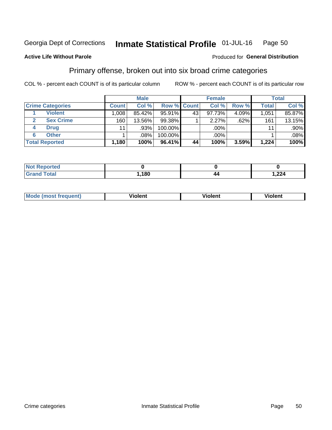#### Inmate Statistical Profile 01-JUL-16 Page 50

### **Active Life Without Parole**

### Produced for General Distribution

## Primary offense, broken out into six broad crime categories

COL % - percent each COUNT is of its particular column

|                         |              | <b>Male</b> |           |             | <b>Female</b> |       |              | <b>Total</b> |
|-------------------------|--------------|-------------|-----------|-------------|---------------|-------|--------------|--------------|
| <b>Crime Categories</b> | <b>Count</b> | Col %       |           | Row % Count | Col %         | Row % | <b>Total</b> | Col %        |
| <b>Violent</b>          | 1.008        | 85.42%      | $95.91\%$ | 43          | 97.73%        | 4.09% | 1.051        | 85.87%       |
| <b>Sex Crime</b>        | 160          | 13.56%      | $99.38\%$ |             | 2.27%         | .62%  | 161          | 13.15%       |
| <b>Drug</b><br>4        | 11           | .93%        | 100.00%   |             | .00%          |       | 11           | .90%         |
| <b>Other</b><br>6       |              | .08%        | 100.00%   |             | .00%          |       |              | $.08\%$      |
| <b>Total Reported</b>   | 1,180        | 100%        | 96.41%    | 44          | 100%          | 3.59% | 1,224        | 100%         |

| <b>Not Reported</b> |      |    |       |
|---------------------|------|----|-------|
| $T0+0$              | ,180 | 44 | 1,224 |

| <b>Mode (most frequent)</b> |         |                | --             |
|-----------------------------|---------|----------------|----------------|
|                             | violent | <b>Violent</b> | <b>Violent</b> |
|                             |         |                |                |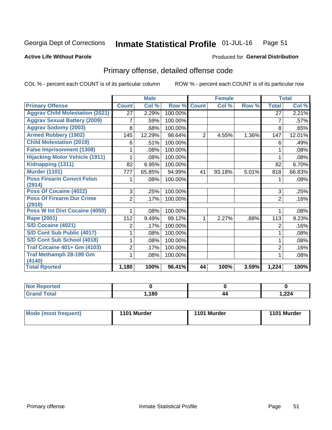#### Inmate Statistical Profile 01-JUL-16 Page 51

#### **Active Life Without Parole**

### **Produced for General Distribution**

## Primary offense, detailed offense code

COL % - percent each COUNT is of its particular column

|                                            |                 | <b>Male</b>                |         |                | <b>Female</b> |       |                 | <b>Total</b> |
|--------------------------------------------|-----------------|----------------------------|---------|----------------|---------------|-------|-----------------|--------------|
| <b>Primary Offense</b>                     | <b>Count</b>    | $\overline{\text{Col }^9}$ | Row %   | <b>Count</b>   | Col %         | Row % | <b>Total</b>    | Col %        |
| <b>Aggrav Child Molestation (2021)</b>     | $\overline{27}$ | 2.29%                      | 100.00% |                |               |       | $\overline{27}$ | 2.21%        |
| <b>Aggrav Sexual Battery (2009)</b>        |                 | .59%                       | 100.00% |                |               |       | 7               | .57%         |
| <b>Aggrav Sodomy (2003)</b>                | 8               | .68%                       | 100.00% |                |               |       | 8               | .65%         |
| <b>Armed Robbery (1902)</b>                | 145             | 12.29%                     | 98.64%  | $\overline{2}$ | 4.55%         | 1.36% | 147             | 12.01%       |
| <b>Child Molestation (2019)</b>            | 6               | .51%                       | 100.00% |                |               |       | 6               | .49%         |
| <b>False Imprisonment (1308)</b>           |                 | .08%                       | 100.00% |                |               |       |                 | .08%         |
| <b>Hijacking Motor Vehicle (1911)</b>      |                 | .08%                       | 100.00% |                |               |       |                 | .08%         |
| Kidnapping (1311)                          | 82              | 6.95%                      | 100.00% |                |               |       | 82              | 6.70%        |
| <b>Murder (1101)</b>                       | 777             | 65.85%                     | 94.99%  | 41             | 93.18%        | 5.01% | 818             | 66.83%       |
| <b>Poss Firearm Convct Felon</b>           |                 | .08%                       | 100.00% |                |               |       |                 | .08%         |
| (2914)                                     |                 |                            |         |                |               |       |                 |              |
| Poss Of Cocaine (4022)                     | 3               | .25%                       | 100.00% |                |               |       | 3               | .25%         |
| <b>Poss Of Firearm Dur Crime</b><br>(2910) | $\overline{2}$  | .17%                       | 100.00% |                |               |       | $\overline{2}$  | .16%         |
| Poss W Int Dist Cocaine (4050)             |                 | .08%                       | 100.00% |                |               |       |                 | .08%         |
| <b>Rape (2001)</b>                         | 112             | 9.49%                      | 99.12%  | 1              | 2.27%         | .88%  | 113             | 9.23%        |
| <b>S/D Cocaine (4021)</b>                  | 2               | .17%                       | 100.00% |                |               |       | 2               | .16%         |
| S/D Cont Sub Public (4017)                 |                 | .08%                       | 100.00% |                |               |       | 1               | .08%         |
| S/D Cont Sub School (4018)                 |                 | .08%                       | 100.00% |                |               |       |                 | .08%         |
| <b>Traf Cocaine 401+ Gm (4103)</b>         | 2               | .17%                       | 100.00% |                |               |       | $\overline{2}$  | .16%         |
| <b>Traf Methamph 28-199 Gm</b>             |                 | .08%                       | 100.00% |                |               |       |                 | .08%         |
| (4140)                                     |                 |                            |         |                |               |       |                 |              |
| <b>Total Rported</b>                       | 1,180           | 100%                       | 96.41%  | 44             | 100%          | 3.59% | 1,224           | 100%         |

| N<br>nrteu<br>$\cdots$ |      |    |       |
|------------------------|------|----|-------|
| _____                  | ,180 | 44 | 1,224 |

| Mode (most frequent)<br>1101 Murder | 1101 Murder | 1101 Murder |
|-------------------------------------|-------------|-------------|
|-------------------------------------|-------------|-------------|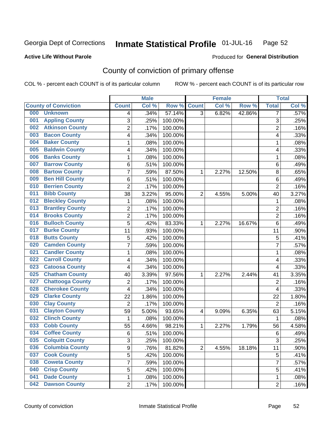#### Inmate Statistical Profile 01-JUL-16 Page 52

### **Active Life Without Parole**

### Produced for General Distribution

## County of conviction of primary offense

COL % - percent each COUNT is of its particular column

|                             |                         |                         | <b>Male</b> |         |                | <b>Female</b> |        | <b>Total</b>   |       |
|-----------------------------|-------------------------|-------------------------|-------------|---------|----------------|---------------|--------|----------------|-------|
| <b>County of Conviction</b> |                         | <b>Count</b>            | Col%        | Row %   | <b>Count</b>   | Col %         | Row %  | <b>Total</b>   | Col % |
| 000<br><b>Unknown</b>       |                         | 4                       | .34%        | 57.14%  | $\overline{3}$ | 6.82%         | 42.86% | 7              | .57%  |
| 001                         | <b>Appling County</b>   | 3                       | .25%        | 100.00% |                |               |        | 3              | .25%  |
| 002                         | <b>Atkinson County</b>  | $\overline{c}$          | .17%        | 100.00% |                |               |        | $\overline{2}$ | .16%  |
| 003                         | <b>Bacon County</b>     | 4                       | .34%        | 100.00% |                |               |        | 4              | .33%  |
| 004                         | <b>Baker County</b>     | 1                       | .08%        | 100.00% |                |               |        | $\mathbf{1}$   | .08%  |
| 005                         | <b>Baldwin County</b>   | 4                       | .34%        | 100.00% |                |               |        | 4              | .33%  |
| 006                         | <b>Banks County</b>     | 1                       | .08%        | 100.00% |                |               |        | 1              | .08%  |
| 007                         | <b>Barrow County</b>    | 6                       | .51%        | 100.00% |                |               |        | 6              | .49%  |
| 008                         | <b>Bartow County</b>    | 7                       | .59%        | 87.50%  | 1              | 2.27%         | 12.50% | $\,8\,$        | .65%  |
| 009                         | <b>Ben Hill County</b>  | 6                       | .51%        | 100.00% |                |               |        | $\,6\,$        | .49%  |
| 010                         | <b>Berrien County</b>   | $\overline{c}$          | .17%        | 100.00% |                |               |        | $\overline{2}$ | .16%  |
| 011                         | <b>Bibb County</b>      | 38                      | 3.22%       | 95.00%  | $\overline{2}$ | 4.55%         | 5.00%  | 40             | 3.27% |
| 012                         | <b>Bleckley County</b>  | 1                       | .08%        | 100.00% |                |               |        | $\mathbf{1}$   | .08%  |
| 013                         | <b>Brantley County</b>  | $\overline{\mathbf{c}}$ | .17%        | 100.00% |                |               |        | $\overline{2}$ | .16%  |
| 014                         | <b>Brooks County</b>    | $\overline{c}$          | .17%        | 100.00% |                |               |        | $\overline{2}$ | .16%  |
| 016                         | <b>Bulloch County</b>   | $\overline{5}$          | .42%        | 83.33%  | 1              | 2.27%         | 16.67% | $\,6$          | .49%  |
| 017                         | <b>Burke County</b>     | 11                      | .93%        | 100.00% |                |               |        | 11             | .90%  |
| 018                         | <b>Butts County</b>     | 5                       | .42%        | 100.00% |                |               |        | 5              | .41%  |
| 020                         | <b>Camden County</b>    | 7                       | .59%        | 100.00% |                |               |        | $\overline{7}$ | .57%  |
| 021                         | <b>Candler County</b>   | 1                       | .08%        | 100.00% |                |               |        | 1              | .08%  |
| 022                         | <b>Carroll County</b>   | 4                       | .34%        | 100.00% |                |               |        | 4              | .33%  |
| 023                         | <b>Catoosa County</b>   | 4                       | .34%        | 100.00% |                |               |        | 4              | .33%  |
| 025                         | <b>Chatham County</b>   | 40                      | 3.39%       | 97.56%  | 1              | 2.27%         | 2.44%  | 41             | 3.35% |
| 027                         | <b>Chattooga County</b> | $\overline{2}$          | .17%        | 100.00% |                |               |        | $\overline{2}$ | .16%  |
| 028                         | <b>Cherokee County</b>  | 4                       | .34%        | 100.00% |                |               |        | 4              | .33%  |
| 029                         | <b>Clarke County</b>    | 22                      | 1.86%       | 100.00% |                |               |        | 22             | 1.80% |
| 030                         | <b>Clay County</b>      | $\overline{2}$          | .17%        | 100.00% |                |               |        | $\overline{2}$ | .16%  |
| 031                         | <b>Clayton County</b>   | 59                      | 5.00%       | 93.65%  | 4              | 9.09%         | 6.35%  | 63             | 5.15% |
| 032                         | <b>Clinch County</b>    | 1                       | .08%        | 100.00% |                |               |        | $\mathbf{1}$   | .08%  |
| 033                         | <b>Cobb County</b>      | 55                      | 4.66%       | 98.21%  | 1              | 2.27%         | 1.79%  | 56             | 4.58% |
| 034                         | <b>Coffee County</b>    | $\,6$                   | .51%        | 100.00% |                |               |        | $6\phantom{1}$ | .49%  |
| 035                         | <b>Colquitt County</b>  | 3                       | .25%        | 100.00% |                |               |        | 3              | .25%  |
| 036                         | <b>Columbia County</b>  | 9                       | .76%        | 81.82%  | $\overline{2}$ | 4.55%         | 18.18% | 11             | .90%  |
| 037                         | <b>Cook County</b>      | $\overline{5}$          | .42%        | 100.00% |                |               |        | 5              | .41%  |
| 038                         | <b>Coweta County</b>    | 7                       | .59%        | 100.00% |                |               |        | $\overline{7}$ | .57%  |
| 040                         | <b>Crisp County</b>     | 5                       | .42%        | 100.00% |                |               |        | 5              | .41%  |
| 041                         | <b>Dade County</b>      | 1                       | .08%        | 100.00% |                |               |        | $\mathbf 1$    | .08%  |
| 042                         | <b>Dawson County</b>    | $\overline{2}$          | .17%        | 100.00% |                |               |        | $\overline{2}$ | .16%  |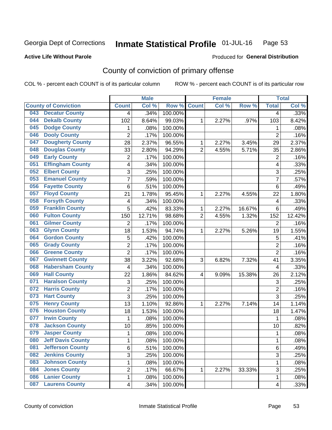#### Inmate Statistical Profile 01-JUL-16 Page 53

### **Active Life Without Parole**

### Produced for General Distribution

## County of conviction of primary offense

COL % - percent each COUNT is of its particular column

|                                 |                 | <b>Male</b> |         |                | <b>Female</b> |        | <b>Total</b>   |        |
|---------------------------------|-----------------|-------------|---------|----------------|---------------|--------|----------------|--------|
| <b>County of Conviction</b>     | <b>Count</b>    | Col %       | Row %   | <b>Count</b>   | Col %         | Row %  | <b>Total</b>   | Col %  |
| <b>Decatur County</b><br>043    | 4               | .34%        | 100.00% |                |               |        | 4              | .33%   |
| <b>Dekalb County</b><br>044     | 102             | 8.64%       | 99.03%  | 1              | 2.27%         | .97%   | 103            | 8.42%  |
| <b>Dodge County</b><br>045      | 1               | .08%        | 100.00% |                |               |        | 1              | .08%   |
| <b>Dooly County</b><br>046      | $\overline{2}$  | .17%        | 100.00% |                |               |        | $\overline{2}$ | .16%   |
| <b>Dougherty County</b><br>047  | 28              | 2.37%       | 96.55%  | 1              | 2.27%         | 3.45%  | 29             | 2.37%  |
| <b>Douglas County</b><br>048    | 33              | 2.80%       | 94.29%  | $\overline{2}$ | 4.55%         | 5.71%  | 35             | 2.86%  |
| <b>Early County</b><br>049      | $\overline{2}$  | .17%        | 100.00% |                |               |        | $\overline{2}$ | .16%   |
| <b>Effingham County</b><br>051  | 4               | .34%        | 100.00% |                |               |        | 4              | .33%   |
| <b>Elbert County</b><br>052     | 3               | .25%        | 100.00% |                |               |        | 3              | .25%   |
| <b>Emanuel County</b><br>053    | $\overline{7}$  | .59%        | 100.00% |                |               |        | $\overline{7}$ | .57%   |
| <b>Fayette County</b><br>056    | 6               | .51%        | 100.00% |                |               |        | 6              | .49%   |
| <b>Floyd County</b><br>057      | 21              | 1.78%       | 95.45%  | 1              | 2.27%         | 4.55%  | 22             | 1.80%  |
| <b>Forsyth County</b><br>058    | 4               | .34%        | 100.00% |                |               |        | 4              | .33%   |
| <b>Franklin County</b><br>059   | $\overline{5}$  | .42%        | 83.33%  | 1              | 2.27%         | 16.67% | 6              | .49%   |
| <b>Fulton County</b><br>060     | 150             | 12.71%      | 98.68%  | $\overline{2}$ | 4.55%         | 1.32%  | 152            | 12.42% |
| <b>Gilmer County</b><br>061     | $\overline{2}$  | .17%        | 100.00% |                |               |        | 2              | .16%   |
| <b>Glynn County</b><br>063      | 18              | 1.53%       | 94.74%  | 1              | 2.27%         | 5.26%  | 19             | 1.55%  |
| <b>Gordon County</b><br>064     | 5               | .42%        | 100.00% |                |               |        | 5              | $-41%$ |
| <b>Grady County</b><br>065      | $\overline{2}$  | .17%        | 100.00% |                |               |        | $\overline{2}$ | .16%   |
| <b>Greene County</b><br>066     | $\overline{2}$  | .17%        | 100.00% |                |               |        | $\overline{2}$ | .16%   |
| <b>Gwinnett County</b><br>067   | 38              | 3.22%       | 92.68%  | 3              | 6.82%         | 7.32%  | 41             | 3.35%  |
| <b>Habersham County</b><br>068  | $\overline{4}$  | .34%        | 100.00% |                |               |        | 4              | .33%   |
| <b>Hall County</b><br>069       | 22              | 1.86%       | 84.62%  | 4              | 9.09%         | 15.38% | 26             | 2.12%  |
| <b>Haralson County</b><br>071   | 3               | .25%        | 100.00% |                |               |        | 3              | .25%   |
| <b>Harris County</b><br>072     | 2               | .17%        | 100.00% |                |               |        | $\overline{2}$ | .16%   |
| <b>Hart County</b><br>073       | $\overline{3}$  | .25%        | 100.00% |                |               |        | 3              | .25%   |
| <b>Henry County</b><br>075      | $\overline{13}$ | 1.10%       | 92.86%  | 1              | 2.27%         | 7.14%  | 14             | 1.14%  |
| <b>Houston County</b><br>076    | 18              | 1.53%       | 100.00% |                |               |        | 18             | 1.47%  |
| <b>Irwin County</b><br>077      | 1               | .08%        | 100.00% |                |               |        | $\mathbf 1$    | .08%   |
| <b>Jackson County</b><br>078    | 10              | .85%        | 100.00% |                |               |        | 10             | .82%   |
| <b>Jasper County</b><br>079     | 1               | .08%        | 100.00% |                |               |        | 1              | .08%   |
| 080<br><b>Jeff Davis County</b> | 1               | .08%        | 100.00% |                |               |        | 1              | .08%   |
| <b>Jefferson County</b><br>081  | 6               | .51%        | 100.00% |                |               |        | 6              | .49%   |
| <b>Jenkins County</b><br>082    | $\overline{3}$  | .25%        | 100.00% |                |               |        | 3              | .25%   |
| <b>Johnson County</b><br>083    | 1               | .08%        | 100.00% |                |               |        | 1              | .08%   |
| <b>Jones County</b><br>084      | 2               | .17%        | 66.67%  | 1              | 2.27%         | 33.33% | 3              | .25%   |
| <b>Lanier County</b><br>086     | 1               | .08%        | 100.00% |                |               |        | 1              | .08%   |
| <b>Laurens County</b><br>087    | 4               | .34%        | 100.00% |                |               |        | 4              | .33%   |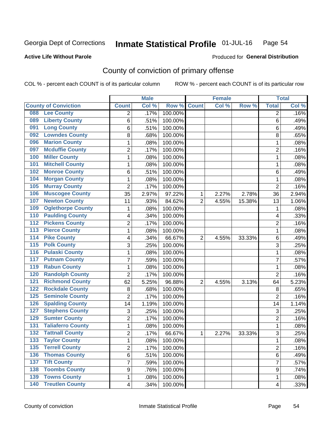#### Inmate Statistical Profile 01-JUL-16 Page 54

### **Active Life Without Parole**

### **Produced for General Distribution**

## County of conviction of primary offense

COL % - percent each COUNT is of its particular column

|                                            |                           | <b>Male</b> |                  |                | <b>Female</b> |        |                | <b>Total</b> |
|--------------------------------------------|---------------------------|-------------|------------------|----------------|---------------|--------|----------------|--------------|
| <b>County of Conviction</b>                | <b>Count</b>              | Col %       | Row <sup>%</sup> | <b>Count</b>   | Col %         | Row %  | <b>Total</b>   | Col %        |
| <b>Lee County</b><br>088                   | 2                         | .17%        | 100.00%          |                |               |        | 2              | .16%         |
| <b>Liberty County</b><br>089               | 6                         | .51%        | 100.00%          |                |               |        | 6              | .49%         |
| <b>Long County</b><br>091                  | 6                         | .51%        | 100.00%          |                |               |        | 6              | .49%         |
| <b>Lowndes County</b><br>092               | 8                         | .68%        | 100.00%          |                |               |        | 8              | .65%         |
| <b>Marion County</b><br>096                | 1                         | .08%        | 100.00%          |                |               |        | $\mathbf{1}$   | .08%         |
| <b>Mcduffie County</b><br>097              | $\overline{2}$            | .17%        | 100.00%          |                |               |        | $\overline{2}$ | .16%         |
| <b>Miller County</b><br>100                | 1                         | .08%        | 100.00%          |                |               |        | 1              | .08%         |
| <b>Mitchell County</b><br>101              | 1                         | .08%        | 100.00%          |                |               |        | 1              | .08%         |
| <b>Monroe County</b><br>102                | 6                         | .51%        | 100.00%          |                |               |        | 6              | .49%         |
| <b>Morgan County</b><br>104                | 1                         | .08%        | 100.00%          |                |               |        | 1              | .08%         |
| <b>Murray County</b><br>105                | $\overline{2}$            | .17%        | 100.00%          |                |               |        | $\overline{2}$ | .16%         |
| <b>Muscogee County</b><br>106              | 35                        | 2.97%       | 97.22%           | 1              | 2.27%         | 2.78%  | 36             | 2.94%        |
| <b>Newton County</b><br>107                | 11                        | .93%        | 84.62%           | $\overline{2}$ | 4.55%         | 15.38% | 13             | 1.06%        |
| <b>Oglethorpe County</b><br>109            | 1                         | .08%        | 100.00%          |                |               |        | 1              | .08%         |
| <b>Paulding County</b><br>110              | 4                         | .34%        | 100.00%          |                |               |        | 4              | .33%         |
| <b>Pickens County</b><br>112               | $\overline{2}$            | .17%        | 100.00%          |                |               |        | $\overline{2}$ | .16%         |
| <b>Pierce County</b><br>113                | 1                         | .08%        | 100.00%          |                |               |        | 1              | .08%         |
| <b>Pike County</b><br>$\overline{114}$     | 4                         | .34%        | 66.67%           | $\overline{2}$ | 4.55%         | 33.33% | 6              | .49%         |
| <b>Polk County</b><br>$\overline{115}$     | 3                         | .25%        | 100.00%          |                |               |        | 3              | .25%         |
| <b>Pulaski County</b><br>116               | 1                         | .08%        | 100.00%          |                |               |        | $\mathbf{1}$   | .08%         |
| <b>Putnam County</b><br>117                | 7                         | .59%        | 100.00%          |                |               |        | 7              | .57%         |
| <b>Rabun County</b><br>119                 | 1                         | .08%        | 100.00%          |                |               |        | 1              | .08%         |
| <b>Randolph County</b><br>120              | $\overline{2}$            | .17%        | 100.00%          |                |               |        | $\overline{2}$ | .16%         |
| <b>Richmond County</b><br>121              | 62                        | 5.25%       | 96.88%           | $\overline{2}$ | 4.55%         | 3.13%  | 64             | 5.23%        |
| <b>Rockdale County</b><br>122              | 8                         | .68%        | 100.00%          |                |               |        | 8              | .65%         |
| <b>Seminole County</b><br>125              | $\overline{2}$            | .17%        | 100.00%          |                |               |        | $\overline{2}$ | .16%         |
| <b>Spalding County</b><br>126              | 14                        | 1.19%       | 100.00%          |                |               |        | 14             | 1.14%        |
| <b>Stephens County</b><br>127              | $\ensuremath{\mathsf{3}}$ | .25%        | 100.00%          |                |               |        | 3              | .25%         |
| <b>Sumter County</b><br>129                | 2                         | .17%        | 100.00%          |                |               |        | $\overline{2}$ | .16%         |
| <b>Taliaferro County</b><br>131            | 1                         | .08%        | 100.00%          |                |               |        | $\mathbf{1}$   | .08%         |
| <b>Tattnall County</b><br>$\overline{132}$ | $\overline{2}$            | .17%        | 66.67%           | 1              | 2.27%         | 33.33% | 3              | .25%         |
| 133<br><b>Taylor County</b>                | 1                         | .08%        | 100.00%          |                |               |        | $\mathbf{1}$   | .08%         |
| <b>Terrell County</b><br>135               | $\overline{2}$            | .17%        | 100.00%          |                |               |        | $\overline{2}$ | .16%         |
| <b>Thomas County</b><br>136                | 6                         | .51%        | 100.00%          |                |               |        | 6              | .49%         |
| <b>Tift County</b><br>137                  | 7                         | .59%        | 100.00%          |                |               |        | $\overline{7}$ | .57%         |
| <b>Toombs County</b><br>138                | 9                         | .76%        | 100.00%          |                |               |        | 9              | .74%         |
| <b>Towns County</b><br>139                 | 1                         | .08%        | 100.00%          |                |               |        | 1              | .08%         |
| <b>140 Treutlen County</b>                 | $\overline{\mathbf{4}}$   | .34%        | 100.00%          |                |               |        | 4              | .33%         |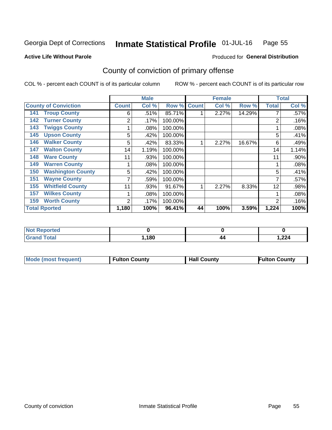#### Inmate Statistical Profile 01-JUL-16 Page 55

**Active Life Without Parole** 

Produced for General Distribution

## County of conviction of primary offense

COL % - percent each COUNT is of its particular column

|                                 |              | <b>Male</b> |         |              | <b>Female</b> |        |                | <b>Total</b> |
|---------------------------------|--------------|-------------|---------|--------------|---------------|--------|----------------|--------------|
| <b>County of Conviction</b>     | <b>Count</b> | Col %       | Row %   | <b>Count</b> | Col %         | Row %  | <b>Total</b>   | Col %        |
| <b>Troup County</b><br>141      | 6            | .51%        | 85.71%  |              | 2.27%         | 14.29% |                | .57%         |
| <b>Turner County</b><br>142     | 2            | $.17\%$     | 100.00% |              |               |        | $\overline{2}$ | .16%         |
| <b>Twiggs County</b><br>143     |              | .08%        | 100.00% |              |               |        |                | .08%         |
| <b>Upson County</b><br>145      | 5            | .42%        | 100.00% |              |               |        | 5              | .41%         |
| <b>Walker County</b><br>146     | 5            | .42%        | 83.33%  |              | 2.27%         | 16.67% | 6              | .49%         |
| <b>Walton County</b><br>147     | 14           | 1.19%       | 100.00% |              |               |        | 14             | 1.14%        |
| <b>Ware County</b><br>148       | 11           | .93%        | 100.00% |              |               |        | 11             | .90%         |
| <b>Warren County</b><br>149     |              | $.08\%$     | 100.00% |              |               |        |                | .08%         |
| <b>Washington County</b><br>150 | 5            | .42%        | 100.00% |              |               |        | 5              | .41%         |
| <b>Wayne County</b><br>151      |              | .59%        | 100.00% |              |               |        | 7              | .57%         |
| <b>Whitfield County</b><br>155  | 11           | .93%        | 91.67%  |              | 2.27%         | 8.33%  | 12             | .98%         |
| <b>Wilkes County</b><br>157     |              | .08%        | 100.00% |              |               |        |                | .08%         |
| <b>Worth County</b><br>159      | 2            | .17%        | 100.00% |              |               |        | $\overline{2}$ | .16%         |
| <b>Total Rported</b>            | 1,180        | 100%        | 96.41%  | 44           | 100%          | 3.59%  | 1,224          | 100%         |

| <b>Not</b><br>Reported    |      |    |      |
|---------------------------|------|----|------|
| `otal<br>. Grar<br>$\sim$ | .180 | 44 | ,224 |

|  | <b>Mode (most frequent)</b> | <b>Fulton County</b> | <b>Hall County</b> | <b>Fulton County</b> |
|--|-----------------------------|----------------------|--------------------|----------------------|
|--|-----------------------------|----------------------|--------------------|----------------------|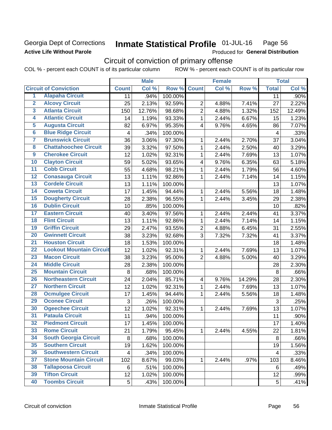### Georgia Dept of Corrections **Active Life Without Parole**

#### Inmate Statistical Profile 01-JUL-16 Page 56

Produced for General Distribution

## Circuit of conviction of primary offense

COL % - percent each COUNT is of its particular column ROW % - percent each COUNT is of its particular row

|                         |                                 |              | <b>Male</b> |         |                         | <b>Female</b> |        | <b>Total</b> |        |
|-------------------------|---------------------------------|--------------|-------------|---------|-------------------------|---------------|--------|--------------|--------|
|                         | <b>Circuit of Conviction</b>    | <b>Count</b> | Col %       | Row %   | <b>Count</b>            | Col %         | Row %  | <b>Total</b> | Col %  |
| 1                       | <b>Alapaha Circuit</b>          | 11           | .94%        | 100.00% |                         |               |        | 11           | .90%   |
| $\overline{2}$          | <b>Alcovy Circuit</b>           | 25           | 2.13%       | 92.59%  | $\overline{2}$          | 4.88%         | 7.41%  | 27           | 2.22%  |
| $\overline{\mathbf{3}}$ | <b>Atlanta Circuit</b>          | 150          | 12.76%      | 98.68%  | $\overline{2}$          | 4.88%         | 1.32%  | 152          | 12.49% |
| 4                       | <b>Atlantic Circuit</b>         | 14           | 1.19%       | 93.33%  | $\mathbf{1}$            | 2.44%         | 6.67%  | 15           | 1.23%  |
| 5                       | <b>Augusta Circuit</b>          | 82           | 6.97%       | 95.35%  | $\overline{4}$          | 9.76%         | 4.65%  | 86           | 7.07%  |
| $\overline{6}$          | <b>Blue Ridge Circuit</b>       | 4            | .34%        | 100.00% |                         |               |        | 4            | .33%   |
| 7                       | <b>Brunswick Circuit</b>        | 36           | 3.06%       | 97.30%  | 1                       | 2.44%         | 2.70%  | 37           | 3.04%  |
| $\overline{\mathbf{8}}$ | <b>Chattahoochee Circuit</b>    | 39           | 3.32%       | 97.50%  | 1                       | 2.44%         | 2.50%  | 40           | 3.29%  |
| $\overline{9}$          | <b>Cherokee Circuit</b>         | 12           | 1.02%       | 92.31%  | 1                       | 2.44%         | 7.69%  | 13           | 1.07%  |
| 10                      | <b>Clayton Circuit</b>          | 59           | 5.02%       | 93.65%  | $\overline{\mathbf{4}}$ | 9.76%         | 6.35%  | 63           | 5.18%  |
| $\overline{11}$         | <b>Cobb Circuit</b>             | 55           | 4.68%       | 98.21%  | $\mathbf{1}$            | 2.44%         | 1.79%  | 56           | 4.60%  |
| $\overline{12}$         | <b>Conasauga Circuit</b>        | 13           | 1.11%       | 92.86%  | 1                       | 2.44%         | 7.14%  | 14           | 1.15%  |
| 13                      | <b>Cordele Circuit</b>          | 13           | 1.11%       | 100.00% |                         |               |        | 13           | 1.07%  |
| $\overline{14}$         | <b>Coweta Circuit</b>           | 17           | 1.45%       | 94.44%  | $\mathbf{1}$            | 2.44%         | 5.56%  | 18           | 1.48%  |
| 15                      | <b>Dougherty Circuit</b>        | 28           | 2.38%       | 96.55%  | $\mathbf 1$             | 2.44%         | 3.45%  | 29           | 2.38%  |
| 16                      | <b>Dublin Circuit</b>           | 10           | .85%        | 100.00% |                         |               |        | 10           | .82%   |
| 17                      | <b>Eastern Circuit</b>          | 40           | 3.40%       | 97.56%  | 1                       | 2.44%         | 2.44%  | 41           | 3.37%  |
| 18                      | <b>Flint Circuit</b>            | 13           | 1.11%       | 92.86%  | $\mathbf{1}$            | 2.44%         | 7.14%  | 14           | 1.15%  |
| 19                      | <b>Griffin Circuit</b>          | 29           | 2.47%       | 93.55%  | $\overline{2}$          | 4.88%         | 6.45%  | 31           | 2.55%  |
| 20                      | <b>Gwinnett Circuit</b>         | 38           | 3.23%       | 92.68%  | 3                       | 7.32%         | 7.32%  | 41           | 3.37%  |
| $\overline{21}$         | <b>Houston Circuit</b>          | 18           | 1.53%       | 100.00% |                         |               |        | 18           | 1.48%  |
| $\overline{22}$         | <b>Lookout Mountain Circuit</b> | 12           | 1.02%       | 92.31%  | $\mathbf{1}$            | 2.44%         | 7.69%  | 13           | 1.07%  |
| 23                      | <b>Macon Circuit</b>            | 38           | 3.23%       | 95.00%  | $\overline{2}$          | 4.88%         | 5.00%  | 40           | 3.29%  |
| $\overline{24}$         | <b>Middle Circuit</b>           | 28           | 2.38%       | 100.00% |                         |               |        | 28           | 2.30%  |
| 25                      | <b>Mountain Circuit</b>         | 8            | .68%        | 100.00% |                         |               |        | $\,8\,$      | .66%   |
| 26                      | <b>Northeastern Circuit</b>     | 24           | 2.04%       | 85.71%  | $\overline{\mathbf{4}}$ | 9.76%         | 14.29% | 28           | 2.30%  |
| $\overline{27}$         | <b>Northern Circuit</b>         | 12           | 1.02%       | 92.31%  | $\mathbf{1}$            | 2.44%         | 7.69%  | 13           | 1.07%  |
| 28                      | <b>Ocmulgee Circuit</b>         | 17           | 1.45%       | 94.44%  | 1                       | 2.44%         | 5.56%  | 18           | 1.48%  |
| 29                      | <b>Oconee Circuit</b>           | 3            | .26%        | 100.00% |                         |               |        | 3            | .25%   |
| 30                      | <b>Ogeechee Circuit</b>         | 12           | 1.02%       | 92.31%  | 1                       | 2.44%         | 7.69%  | 13           | 1.07%  |
| $\overline{31}$         | <b>Pataula Circuit</b>          | 11           | .94%        | 100.00% |                         |               |        | 11           | .90%   |
| 32                      | <b>Piedmont Circuit</b>         | 17           | 1.45%       | 100.00% |                         |               |        | 17           | 1.40%  |
| 33                      | <b>Rome Circuit</b>             | 21           | 1.79%       | 95.45%  | $\mathbf{1}$            | 2.44%         | 4.55%  | 22           | 1.81%  |
| 34                      | <b>South Georgia Circuit</b>    | 8            | .68%        | 100.00% |                         |               |        | 8            | .66%   |
| 35                      | <b>Southern Circuit</b>         | 19           | 1.62%       | 100.00% |                         |               |        | 19           | 1.56%  |
| 36                      | <b>Southwestern Circuit</b>     | 4            | .34%        | 100.00% |                         |               |        | 4            | .33%   |
| 37                      | <b>Stone Mountain Circuit</b>   | 102          | 8.67%       | 99.03%  | 1                       | 2.44%         | .97%   | 103          | 8.46%  |
| 38                      | <b>Tallapoosa Circuit</b>       | 6            | .51%        | 100.00% |                         |               |        | 6            | .49%   |
| 39                      | <b>Tifton Circuit</b>           | 12           | 1.02%       | 100.00% |                         |               |        | 12           | .99%   |
| 40                      | <b>Toombs Circuit</b>           | 5            | .43%        | 100.00% |                         |               |        | 5            | .41%   |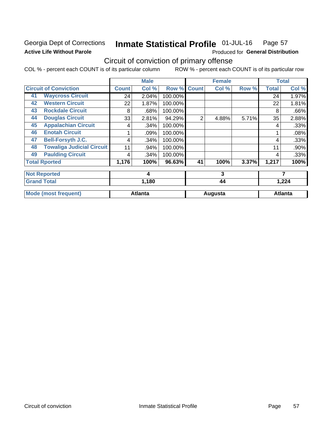## Georgia Dept of Corrections **Active Life Without Parole**

#### Inmate Statistical Profile 01-JUL-16 Page 57

Produced for General Distribution

## Circuit of conviction of primary offense

COL % - percent each COUNT is of its particular column ROW % - percent each COUNT is of its particular row

|    |                                  |              | <b>Male</b>    |         |              | <b>Female</b> |       | <b>Total</b> |                |
|----|----------------------------------|--------------|----------------|---------|--------------|---------------|-------|--------------|----------------|
|    | <b>Circuit of Conviction</b>     | <b>Count</b> | Col %          | Row %   | <b>Count</b> | Col %         | Row % | <b>Total</b> | Col %          |
| 41 | <b>Waycross Circuit</b>          | 24           | 2.04%          | 100.00% |              |               |       | 24           | 1.97%          |
| 42 | <b>Western Circuit</b>           | 22           | 1.87%          | 100.00% |              |               |       | 22           | 1.81%          |
| 43 | <b>Rockdale Circuit</b>          | 8            | .68%           | 100.00% |              |               |       | 8            | .66%           |
| 44 | <b>Douglas Circuit</b>           | 33           | 2.81%          | 94.29%  | 2            | 4.88%         | 5.71% | 35           | 2.88%          |
| 45 | <b>Appalachian Circuit</b>       | 4            | .34%           | 100.00% |              |               |       | 4            | .33%           |
| 46 | <b>Enotah Circuit</b>            |              | .09%           | 100.00% |              |               |       |              | .08%           |
| 47 | <b>Bell-Forsyth J.C.</b>         | 4            | .34%           | 100.00% |              |               |       | 4            | .33%           |
| 48 | <b>Towaliga Judicial Circuit</b> | 11           | .94%           | 100.00% |              |               |       | 11           | .90%           |
| 49 | <b>Paulding Circuit</b>          | 4            | .34%           | 100.00% |              |               |       | 4            | .33%           |
|    | <b>Total Rported</b>             | 1,176        | 100%           | 96.63%  | 41           | 100%          | 3.37% | 1,217        | 100%           |
|    | <b>Not Reported</b>              |              | 4              |         | 3            |               |       | 7            |                |
|    | <b>Grand Total</b>               |              | 1,180          |         |              | 44            |       | 1,224        |                |
|    | <b>Mode (most frequent)</b>      |              | <b>Atlanta</b> |         |              | Augusta       |       |              | <b>Atlanta</b> |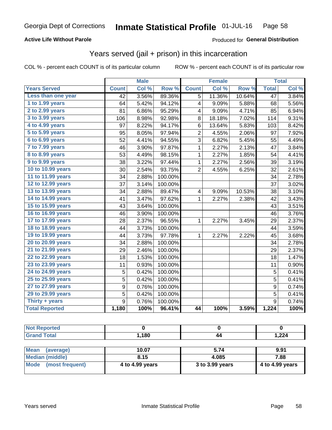### **Active Life Without Parole**

### Produced for General Distribution

## Years served (jail + prison) in this incarceration

COL % - percent each COUNT is of its particular column

|                       |              | <b>Male</b> |         |                | <b>Female</b> |        |                 | <b>Total</b> |
|-----------------------|--------------|-------------|---------|----------------|---------------|--------|-----------------|--------------|
| <b>Years Served</b>   | <b>Count</b> | Col %       | Row %   | <b>Count</b>   | Col %         | Row %  | <b>Total</b>    | Col %        |
| Less than one year    | 42           | 3.56%       | 89.36%  | 5              | 11.36%        | 10.64% | $\overline{47}$ | 3.84%        |
| 1 to 1.99 years       | 64           | 5.42%       | 94.12%  | 4              | 9.09%         | 5.88%  | 68              | 5.56%        |
| 2 to 2.99 years       | 81           | 6.86%       | 95.29%  | 4              | 9.09%         | 4.71%  | 85              | 6.94%        |
| 3 to 3.99 years       | 106          | 8.98%       | 92.98%  | 8              | 18.18%        | 7.02%  | 114             | 9.31%        |
| 4 to 4.99 years       | 97           | 8.22%       | 94.17%  | 6              | 13.64%        | 5.83%  | 103             | 8.42%        |
| 5 to 5.99 years       | 95           | 8.05%       | 97.94%  | $\overline{2}$ | 4.55%         | 2.06%  | 97              | 7.92%        |
| 6 to 6.99 years       | 52           | 4.41%       | 94.55%  | 3              | 6.82%         | 5.45%  | 55              | 4.49%        |
| 7 to 7.99 years       | 46           | 3.90%       | 97.87%  | $\mathbf 1$    | 2.27%         | 2.13%  | 47              | 3.84%        |
| 8 to 8.99 years       | 53           | 4.49%       | 98.15%  | 1              | 2.27%         | 1.85%  | 54              | 4.41%        |
| 9 to 9.99 years       | 38           | 3.22%       | 97.44%  | $\mathbf 1$    | 2.27%         | 2.56%  | 39              | 3.19%        |
| 10 to 10.99 years     | 30           | 2.54%       | 93.75%  | $\overline{2}$ | 4.55%         | 6.25%  | 32              | 2.61%        |
| 11 to 11.99 years     | 34           | 2.88%       | 100.00% |                |               |        | 34              | 2.78%        |
| 12 to 12.99 years     | 37           | 3.14%       | 100.00% |                |               |        | 37              | 3.02%        |
| 13 to 13.99 years     | 34           | 2.88%       | 89.47%  | 4              | 9.09%         | 10.53% | 38              | 3.10%        |
| 14 to 14.99 years     | 41           | 3.47%       | 97.62%  | 1              | 2.27%         | 2.38%  | 42              | 3.43%        |
| 15 to 15.99 years     | 43           | 3.64%       | 100.00% |                |               |        | 43              | 3.51%        |
| 16 to 16.99 years     | 46           | 3.90%       | 100.00% |                |               |        | 46              | 3.76%        |
| 17 to 17.99 years     | 28           | 2.37%       | 96.55%  | 1              | 2.27%         | 3.45%  | 29              | 2.37%        |
| 18 to 18.99 years     | 44           | 3.73%       | 100.00% |                |               |        | 44              | 3.59%        |
| 19 to 19.99 years     | 44           | 3.73%       | 97.78%  | $\mathbf{1}$   | 2.27%         | 2.22%  | 45              | 3.68%        |
| 20 to 20.99 years     | 34           | 2.88%       | 100.00% |                |               |        | 34              | 2.78%        |
| 21 to 21.99 years     | 29           | 2.46%       | 100.00% |                |               |        | 29              | 2.37%        |
| 22 to 22.99 years     | 18           | 1.53%       | 100.00% |                |               |        | 18              | 1.47%        |
| 23 to 23.99 years     | 11           | 0.93%       | 100.00% |                |               |        | 11              | 0.90%        |
| 24 to 24.99 years     | 5            | 0.42%       | 100.00% |                |               |        | 5               | 0.41%        |
| 25 to 25.99 years     | 5            | 0.42%       | 100.00% |                |               |        | 5               | 0.41%        |
| 27 to 27.99 years     | 9            | 0.76%       | 100.00% |                |               |        | 9               | 0.74%        |
| 29 to 29.99 years     | 5            | 0.42%       | 100.00% |                |               |        | $\overline{5}$  | 0.41%        |
| Thirty + years        | 9            | 0.76%       | 100.00% |                |               |        | 9               | 0.74%        |
| <b>Total Reported</b> | 1,180        | 100%        | 96.41%  | 44             | 100%          | 3.59%  | 1,224           | 100%         |

| <b>Not Reported</b>  |       |    |       |
|----------------------|-------|----|-------|
| <b>Total</b><br>Cron | 180,، | 44 | 1,224 |

| <b>Mean</b><br>(average) | 10.07           | 5.74            | 9.91            |
|--------------------------|-----------------|-----------------|-----------------|
| Median (middle)          | 8.15            | 4.085           | 7.88            |
| Mode (most frequent)     | 4 to 4.99 years | 3 to 3.99 years | 4 to 4.99 years |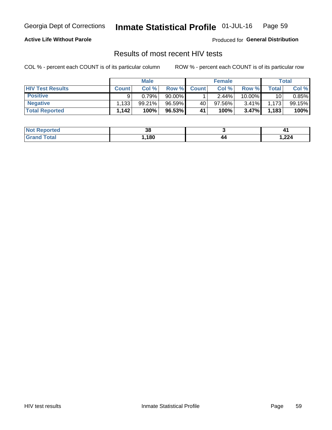#### Inmate Statistical Profile 01-JUL-16 Page 59

### **Active Life Without Parole**

Produced for General Distribution

## Results of most recent HIV tests

COL % - percent each COUNT is of its particular column

|                         | <b>Male</b>  |           |           | <b>Female</b> |        |          | Total |        |
|-------------------------|--------------|-----------|-----------|---------------|--------|----------|-------|--------|
| <b>HIV Test Results</b> | <b>Count</b> | Col %     | Row %I    | <b>Count</b>  | Col %  | Row %    | Total | Col %  |
| <b>Positive</b>         |              | 0.79%     | $90.00\%$ |               | 2.44%  | 10.00%   | 10    | 0.85%  |
| <b>Negative</b>         | .133         | $99.21\%$ | 96.59%    | 40            | 97.56% | $3.41\%$ | 1,173 | 99.15% |
| <b>Total Reported</b>   | 1,142        | 100%      | 96.53%    | 41            | 100%   | 3.47%    | 1,183 | 100%   |

| <b>Not Reported</b>          | ^^<br>აა |    |       |
|------------------------------|----------|----|-------|
| <b>Total</b><br><b>Grand</b> | ,180     | 44 | 1,224 |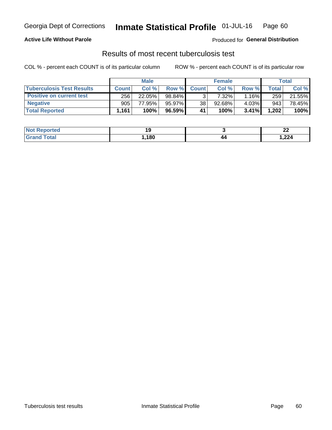## Georgia Dept of Corrections **Inmate Statistical Profile** 01-JUL-16 Page 60

### **Active Life Without Parole**

Produced for **General Distribution**

### Results of most recent tuberculosis test

COL % - percent each COUNT is of its particular column ROW % - percent each COUNT is of its particular row

|                                  |              | <b>Male</b> |           |              | <b>Female</b> |       |       | Total  |
|----------------------------------|--------------|-------------|-----------|--------------|---------------|-------|-------|--------|
| <b>Tuberculosis Test Results</b> | <b>Count</b> | Col%        | Row %I    | <b>Count</b> | Col%          | Row % | Total | Col %  |
| <b>Positive on current test</b>  | 256          | 22.05%      | 98.84%    |              | $7.32\%$      | 1.16% | 259   | 21.55% |
| <b>Negative</b>                  | 905          | 77.95%      | 95.97%    | 38           | 92.68%        | 4.03% | 943   | 78.45% |
| <b>Total Reported</b>            | 1,161        | 100%        | $96.59\%$ | 41           | 100%          | 3.41% | 1,202 | 100%   |

| <b>Not Reported</b> |     |     | n,<br>. .<br>$\sim$ $\sim$ $\sim$ |
|---------------------|-----|-----|-----------------------------------|
| Total               | 180 | / / | 224, ا                            |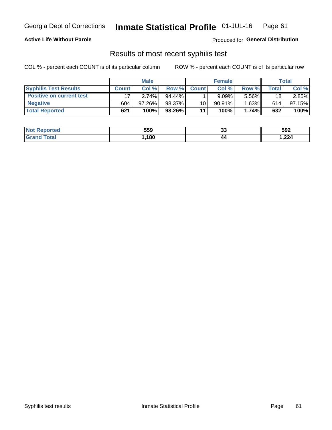## Georgia Dept of Corrections **Inmate Statistical Profile** 01-JUL-16 Page 61

### **Active Life Without Parole**

Produced for **General Distribution**

### Results of most recent syphilis test

COL % - percent each COUNT is of its particular column ROW % - percent each COUNT is of its particular row

|                                 | <b>Male</b>  |           |           | <b>Female</b> |           |          | Total |        |
|---------------------------------|--------------|-----------|-----------|---------------|-----------|----------|-------|--------|
| <b>Syphilis Test Results</b>    | <b>Count</b> | Col%      | Row %I    | <b>Count</b>  | Col %     | Row %    | Total | Col %  |
| <b>Positive on current test</b> |              | 2.74%     | $94.44\%$ |               | 9.09%     | 5.56%    | 18    | 2.85%  |
| <b>Negative</b>                 | 604          | $97.26\%$ | 98.37%    | 10            | $90.91\%$ | $1.63\%$ | 614   | 97.15% |
| <b>Total Reported</b>           | 621          | 100%      | 98.26%    | 11            | 100%      | 1.74%    | 632   | 100%   |

| <b>Not Reported</b>          | 559 | ^^<br>◡ | 592    |
|------------------------------|-----|---------|--------|
| <b>Total</b><br><b>Grand</b> | 180 | 44      | 224, ا |